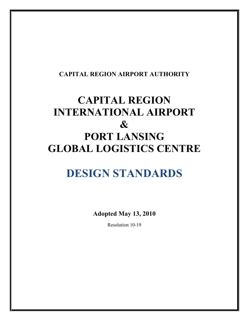# **CAPITAL REGION AIRPORT AUTHORITY**

# **CAPITAL REGION INTERNATIONAL AIRPORT & PORT LANSING GLOBAL LOGISTICS CENTRE**

# **DESIGN STANDARDS**

**Adopted May 13, 2010** 

Resolution 10-19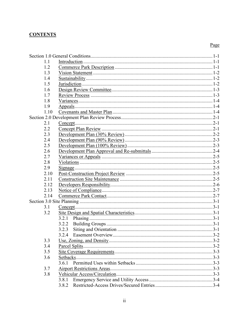# **CONTENTS**

| 1.1  |           |  |
|------|-----------|--|
| 1.2  |           |  |
| 1.3  |           |  |
| 1.4  |           |  |
| 1.5  |           |  |
| 1.6  |           |  |
| 1.7  |           |  |
| 1.8  |           |  |
| 1.9  |           |  |
| 1.10 |           |  |
|      |           |  |
| 2.1  |           |  |
| 2.2  |           |  |
| 2.3  |           |  |
| 2.4  |           |  |
| 2.5  |           |  |
| 2.6  |           |  |
| 2.7  |           |  |
| 2.8  |           |  |
| 2.9  |           |  |
| 2.10 |           |  |
| 2.11 |           |  |
| 2.12 |           |  |
| 2.13 |           |  |
| 2.14 |           |  |
|      |           |  |
| 3.1  |           |  |
| 3.2  |           |  |
|      |           |  |
|      | 3.2.2     |  |
|      | 3.2.3     |  |
|      |           |  |
| 3.3  |           |  |
| 3.4  |           |  |
| 3.5  |           |  |
| 3.6  | Setbacks. |  |
|      |           |  |
| 3.7  |           |  |
| 3.8  |           |  |
|      | 3.8.1     |  |
|      | 3.8.2     |  |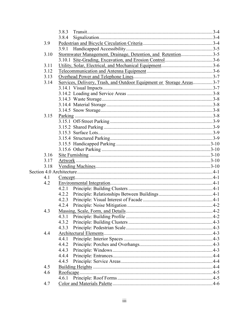|      | 3.8.3                                                                |  |
|------|----------------------------------------------------------------------|--|
|      | 3.8.4                                                                |  |
| 3.9  |                                                                      |  |
|      |                                                                      |  |
| 3.10 | Stormwater Management, Drainage, Detention, and Retention3-5         |  |
|      |                                                                      |  |
| 3.11 |                                                                      |  |
| 3.12 |                                                                      |  |
| 3.13 |                                                                      |  |
| 3.14 | Services, Delivery, Trash, and Outdoor Equipment or Storage Areas3-7 |  |
|      |                                                                      |  |
|      |                                                                      |  |
|      |                                                                      |  |
|      |                                                                      |  |
|      |                                                                      |  |
| 3.15 |                                                                      |  |
|      |                                                                      |  |
|      |                                                                      |  |
|      |                                                                      |  |
|      |                                                                      |  |
|      |                                                                      |  |
|      |                                                                      |  |
| 3.16 |                                                                      |  |
| 3.17 |                                                                      |  |
| 3.18 |                                                                      |  |
|      |                                                                      |  |
| 4.1  |                                                                      |  |
| 4.2  |                                                                      |  |
|      |                                                                      |  |
|      |                                                                      |  |
|      |                                                                      |  |
|      |                                                                      |  |
| 4.3  |                                                                      |  |
|      | 4.3.1                                                                |  |
|      | 4.3.2                                                                |  |
|      | 4.3.3                                                                |  |
| 4.4  |                                                                      |  |
|      | 4.4.1                                                                |  |
|      | 4.4.2                                                                |  |
|      | 4.4.3                                                                |  |
|      | 4.4.4                                                                |  |
|      | 4.4.5                                                                |  |
| 4.5  |                                                                      |  |
| 4.6  |                                                                      |  |
|      | 4.6.1                                                                |  |
| 4.7  |                                                                      |  |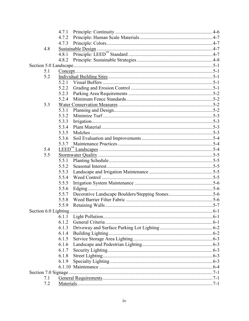|                      | 4.7.1                |  |  |
|----------------------|----------------------|--|--|
|                      | 4.7.2                |  |  |
|                      |                      |  |  |
| 4.8                  |                      |  |  |
|                      | 4.8.1                |  |  |
|                      |                      |  |  |
|                      |                      |  |  |
| 5.1                  |                      |  |  |
| 5.2                  |                      |  |  |
|                      |                      |  |  |
|                      | 5.2.2                |  |  |
|                      | 5.2.3                |  |  |
|                      | 5.2.4                |  |  |
| 5.3                  |                      |  |  |
|                      | 5.3.1                |  |  |
|                      | 5.3.2                |  |  |
|                      | 5.3.3                |  |  |
|                      | 5.3.4                |  |  |
|                      | 5.3.5                |  |  |
|                      | 5.3.6                |  |  |
|                      | 5.3.7                |  |  |
| 5.4                  |                      |  |  |
| 5.5                  |                      |  |  |
|                      | 5.5.1                |  |  |
|                      | 5.5.2                |  |  |
|                      | 5.5.3                |  |  |
|                      | 5.5.4                |  |  |
|                      | 5.5.5                |  |  |
|                      | 5.5.6                |  |  |
|                      | 5.5.7                |  |  |
|                      | 5.5.8                |  |  |
|                      | 5.5.9                |  |  |
| Section 6.0 Lighting |                      |  |  |
|                      | 6.1.1                |  |  |
|                      | 6.1.2                |  |  |
|                      | 6.1.3                |  |  |
|                      | 6.1.4                |  |  |
|                      | 6.1.5                |  |  |
|                      | 6.1.6                |  |  |
|                      | 6.1.7                |  |  |
|                      | 6.1.8                |  |  |
|                      | 6.1.9                |  |  |
|                      |                      |  |  |
|                      |                      |  |  |
|                      | Section 7.0 Signage. |  |  |
| 7.1                  |                      |  |  |
| 7.2                  |                      |  |  |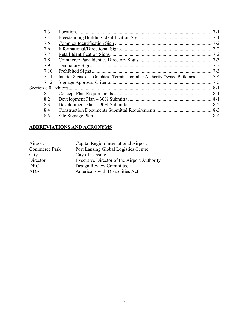| 7.3                   | Location.                    |  |
|-----------------------|------------------------------|--|
| 7.4                   |                              |  |
| 7.5                   |                              |  |
| 7.6                   |                              |  |
| 7.7                   | Retail Identification Signs. |  |
| 7.8                   |                              |  |
| 7.9                   |                              |  |
| 7.10                  |                              |  |
| 7.11                  |                              |  |
| 7.12                  |                              |  |
| Section 8.0 Exhibits. |                              |  |
| 8.1                   |                              |  |
| 8.2                   |                              |  |
| 8.3                   |                              |  |
| 8.4                   |                              |  |
| 8.5                   |                              |  |
|                       |                              |  |

#### **ABBREVIATIONS AND ACRONYMS**

| Airport       | Capital Region International Airport        |
|---------------|---------------------------------------------|
| Commerce Park | Port Lansing Global Logistics Centre        |
| City          | City of Lansing                             |
| Director      | Executive Director of the Airport Authority |
| <b>DRC</b>    | Design Review Committee                     |
| <b>ADA</b>    | Americans with Disabilities Act             |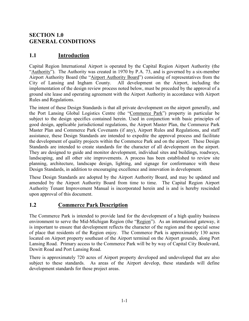# **SECTION 1.0 GENERAL CONDITIONS**

# **1.1 Introduction**

Capital Region International Airport is operated by the Capital Region Airport Authority (the "Authority"). The Authority was created in 1970 by P.A. 73, and is governed by a six-member Airport Authority Board (the "Airport Authority Board") consisting of representatives from the City of Lansing and Ingham County. All development on the Airport, including the implementation of the design review process noted below, must be preceded by the approval of a ground site lease and operating agreement with the Airport Authority in accordance with Airport Rules and Regulations.

The intent of these Design Standards is that all private development on the airport generally, and the Port Lansing Global Logistics Centre (the "Commerce Park") property in particular be subject to the design specifics contained herein. Used in conjunction with basic principles of good design, applicable jurisdictional regulations, the Airport Master Plan, the Commerce Park Master Plan and Commerce Park Covenants (if any), Airport Rules and Regulations, and staff assistance, these Design Standards are intended to expedite the approval process and facilitate the development of quality projects within the Commerce Park and on the airport. These Design Standards are intended to create standards for the character of all development on the airport. They are designed to guide and monitor development, individual sites and buildings, roadways, landscaping, and all other site improvements. A process has been established to review site planning, architecture, landscape design, lighting, and signage for conformance with these Design Standards, in addition to encouraging excellence and innovation in development.

These Design Standards are adopted by the Airport Authority Board, and may be updated and amended by the Airport Authority Board from time to time. The Capital Region Airport Authority Tenant Improvement Manual is incorporated herein and is and is hereby rescinded upon approval of this document.

## **1.2 Commerce Park Description**

The Commerce Park is intended to provide land for the development of a high quality business environment to serve the Mid-Michigan Region (the "Region"). As an international gateway, it is important to ensure that development reflects the character of the region and the special sense of place that residents of the Region enjoy. The Commerce Park is approximately 130 acres located on Airport property southeast of the Airport terminal on the Airport grounds, along Port Lansing Road. Primary access to the Commerce Park will be by way of Capital City Boulevard, Dewitt Road and Port Lansing Road.

There is approximately 720 acres of Airport property developed and undeveloped that are also subject to these standards. As areas of the Airport develop, these standards will define development standards for those project areas.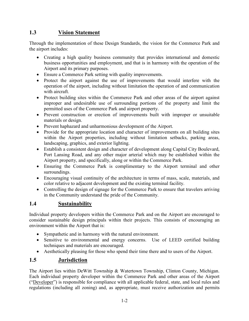# **1.3 Vision Statement**

Through the implementation of these Design Standards, the vision for the Commerce Park and the airport includes:

- Creating a high quality business community that provides international and domestic business opportunities and employment, and that is in harmony with the operation of the Airport and its primary purposes.
- Ensure a Commerce Park setting with quality improvements.
- Protect the airport against the use of improvements that would interfere with the operation of the airport, including without limitation the operation of and communication with aircraft.
- Protect building sites within the Commerce Park and other areas of the airport against improper and undesirable use of surrounding portions of the property and limit the permitted uses of the Commerce Park and airport property.
- Prevent construction or erection of improvements built with improper or unsuitable materials or design.
- Prevent haphazard and unharmonious development of the Airport.
- Provide for the appropriate location and character of improvements on all building sites within the Airport properties, including without limitation setbacks, parking areas, landscaping, graphics, and exterior lighting.
- Establish a consistent design and character of development along Capital City Boulevard, Port Lansing Road, and any other major arterial which may be established within the Airport property, and specifically, along or within the Commerce Park.
- Ensuring the Commerce Park is complimentary to the Airport terminal and other surroundings.
- Encouraging visual continuity of the architecture in terms of mass, scale, materials, and color relative to adjacent development and the existing terminal facility.
- Controlling the design of signage for the Commerce Park to ensure that travelers arriving in the Community understand the pride of the Community.

## **1.4 Sustainability**

Individual property developers within the Commerce Park and on the Airport are encouraged to consider sustainable design principals within their projects. This consists of encouraging an environment within the Airport that is:

- Sympathetic and in harmony with the natural environment.
- Sensitive to environmental and energy concerns. Use of LEED certified building techniques and materials are encouraged.
- Aesthetically pleasing for those who spend their time there and to users of the Airport.

# **1.5 Jurisdiction**

The Airport lies within DeWitt Township & Watertown Township, Clinton County, Michigan. Each individual property developer within the Commerce Park and other areas of the Airport ("Developer") is responsible for compliance with all applicable federal, state, and local rules and regulations (including all zoning) and, as appropriate, must receive authorization and permits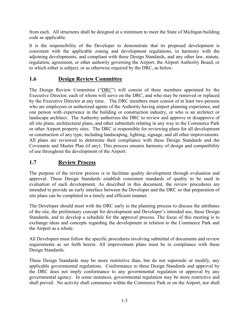from each. All structures shall be designed at a minimum to meet the State of Michigan building code as applicable.

It is the responsibility of the Developer to demonstrate that its proposed development is consistent with the applicable zoning and development regulations, in harmony with the adjoining developments, and compliant with these Design Standards, and any other law, statute, regulation, agreement, or other authority governing the Airport, the Airport Authority Board, or to which either is subject, or as otherwise required by the DRC, as below.

#### **1.6 Design Review Committee**

The Design Review Committee ("DRC") will consist of three members appointed by the Executive Director, each of whom will serve on the DRC, and who may be removed or replaced by the Executive Director at any time. The DRC members must consist of at least two persons who are employees or authorized agents of the Authority having airport planning experience, and one person with experience in the building or construction industry, or who is an architect or landscape architect. The Authority authorizes the DRC to review and approve or disapprove of all site plans, architectural plans, and other submittals relating in any way to the Commerce Park or other Airport property sites. The DRC is responsible for reviewing plans for all development or construction of any type, including landscaping, lighting, signage, and all other improvements. All plans are reviewed to determine their compliance with these Design Standards and the Covenants and Master Plan (if any). This process ensures harmony of design and compatibility of use throughout the development of the Airport.

## **1.7 Review Process**

The purpose of the review process is to facilitate quality development through evaluation and approval. These Design Standards establish consistent standards of quality to be used in evaluation of each development. As described in this document, the review procedures are intended to provide an early interface between the Developer and the DRC so that preparation of site plans can be completed in a timely and efficient manner.

The Developer should meet with the DRC early in the planning process to discuss the attributes of the site, the preliminary concept for development and Developer's intended use, these Design Standards, and to develop a schedule for the approval process. The focus of this meeting is to exchange ideas and concepts regarding the development in relation to the Commerce Park and the Airport as a whole.

All Developers must follow the specific procedures involving submittal of documents and review requirements as set forth herein. All improvement plans must be in compliance with these Design Standards.

These Design Standards may be more restrictive than, but do not supersede or modify, any applicable governmental regulations. Conformance to these Design Standards and approval by the DRC does not imply conformance to any governmental regulation or approval by any governmental agency. In some instances, governmental regulation may be more restrictive and shall prevail. No activity shall commence within the Commerce Park or on the Airport, nor shall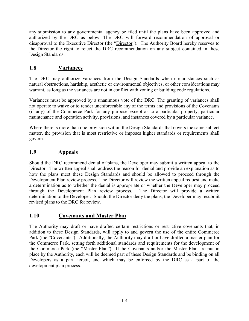any submission to any governmental agency be filed until the plans have been approved and authorized by the DRC as below. The DRC will forward recommendation of approval or disapproval to the Executive Director (the "Director"). The Authority Board hereby reserves to the Director the right to reject the DRC recommendation on any subject contained in these Design Standards.

# **1.8 Variances**

The DRC may authorize variances from the Design Standards when circumstances such as natural obstructions, hardship, aesthetic or environmental objectives, or other considerations may warrant, as long as the variances are not in conflict with zoning or building code regulations.

Variances must be approved by a unanimous vote of the DRC. The granting of variances shall not operate to waive or to render unenforceable any of the terms and provisions of the Covenants (if any) of the Commerce Park for any purpose except as to a particular property, particular maintenance and operation activity, provisions, and instances covered by a particular variance.

Where there is more than one provision within the Design Standards that covers the same subject matter, the provision that is most restrictive or imposes higher standards or requirements shall govern.

# **1.9 Appeals**

Should the DRC recommend denial of plans, the Developer may submit a written appeal to the Director. The written appeal shall address the reason for denial and provide an explanation as to how the plans meet these Design Standards and should be allowed to proceed through the Development Plan review process. The Director will review the written appeal request and make a determination as to whether the denial is appropriate or whether the Developer may proceed through the Development Plan review process. The Director will provide a written determination to the Developer. Should the Director deny the plans, the Developer may resubmit revised plans to the DRC for review.

#### **1.10 Covenants and Master Plan**

The Authority may draft or have drafted certain restrictions or restrictive covenants that, in addition to these Design Standards, will apply to and govern the use of the entire Commerce Park (the "Covenants"). Additionally, the Authority may draft or have drafted a master plan for the Commerce Park, setting forth additional standards and requirements for the development of the Commerce Park (the "Master Plan"). If the Covenants and/or the Master Plan are put in place by the Authority, each will be deemed part of these Design Standards and be binding on all Developers as a part hereof, and which may be enforced by the DRC as a part of the development plan process.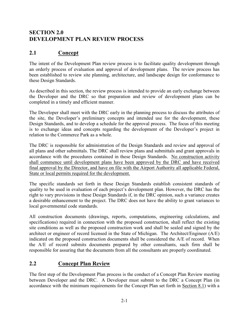# **SECTION 2.0 DEVELOPMENT PLAN REVIEW PROCESS**

# **2.1 Concept**

The intent of the Development Plan review process is to facilitate quality development through an orderly process of evaluation and approval of development plans. The review process has been established to review site planning, architecture, and landscape design for conformance to these Design Standards.

As described in this section, the review process is intended to provide an early exchange between the Developer and the DRC so that preparation and review of development plans can be completed in a timely and efficient manner.

The Developer shall meet with the DRC early in the planning process to discuss the attributes of the site, the Developer's preliminary concepts and intended use for the development, these Design Standards, and to develop a schedule for the approval process. The focus of this meeting is to exchange ideas and concepts regarding the development of the Developer's project in relation to the Commerce Park as a whole.

The DRC is responsible for administration of the Design Standards and review and approval of all plans and other submittals. The DRC shall review plans and submittals and grant approvals in accordance with the procedures contained in these Design Standards. No construction activity shall commence until development plans have been approved by the DRC and have received final approval by the Director, and have on file with the Airport Authority all applicable Federal, State or local permits required for the development.

The specific standards set forth in these Design Standards establish consistent standards of quality to be used in evaluation of each project's development plan. However, the DRC has the right to vary provisions in these Design Standards if, in the DRC opinion, such a variance creates a desirable enhancement to the project. The DRC does not have the ability to grant variances to local governmental code standards.

All construction documents (drawings, reports, computations, engineering calculations, and specifications) required in connection with the proposed construction, shall reflect the existing site conditions as well as the proposed construction work and shall be sealed and signed by the architect or engineer of record licensed in the State of Michigan. The Architect/Engineer (A/E) indicated on the proposed construction documents shall be considered the A/E of record. When the A/E of record submits documents prepared by other consultants, such firm shall be responsible for assuring that the documents from all the consultants are properly coordinated.

## **2.2 Concept Plan Review**

The first step of the Development Plan process is the conduct of a Concept Plan Review meeting between Developer and the DRC. A Developer must submit to the DRC a Concept Plan (in accordance with the minimum requirements for the Concept Plan set forth in Section 8.1) with a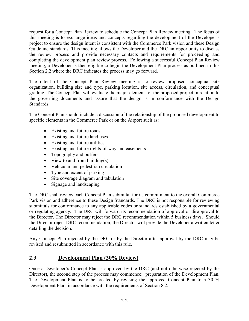request for a Concept Plan Review to schedule the Concept Plan Review meeting. The focus of this meeting is to exchange ideas and concepts regarding the development of the Developer's project to ensure the design intent is consistent with the Commerce Park vision and these Design Guideline standards. This meeting allows the Developer and the DRC an opportunity to discuss the review process and provide necessary contacts and requirements for proceeding and completing the development plan review process. Following a successful Concept Plan Review meeting, a Developer is then eligible to begin the Development Plan process as outlined in this Section 2.2 where the DRC indicates the process may go forward.

The intent of the Concept Plan Review meeting is to review proposed conceptual site organization, building size and type, parking location, site access, circulation, and conceptual grading. The Concept Plan will evaluate the major elements of the proposed project in relation to the governing documents and assure that the design is in conformance with the Design **Standards** 

The Concept Plan should include a discussion of the relationship of the proposed development to specific elements in the Commerce Park or on the Airport such as:

- Existing and future roads
- Existing and future land uses
- Existing and future utilities
- Existing and future rights-of-way and easements
- Topography and buffers
- View to and from building $(s)$
- Vehicular and pedestrian circulation
- Type and extent of parking
- Site coverage diagram and tabulation
- Signage and landscaping

The DRC shall review each Concept Plan submittal for its commitment to the overall Commerce Park vision and adherence to these Design Standards. The DRC is not responsible for reviewing submittals for conformance to any applicable codes or standards established by a governmental or regulating agency. The DRC will forward its recommendation of approval or disapproval to the Director. The Director may reject the DRC recommendation within 5 business days. Should the Director reject DRC recommendation, the Director will provide the Developer a written letter detailing the decision.

Any Concept Plan rejected by the DRC or by the Director after approval by the DRC may be revised and resubmitted in accordance with this rule.

#### **2.3 Development Plan (30% Review)**

Once a Developer's Concept Plan is approved by the DRC (and not otherwise rejected by the Director), the second step of the process may commence: preparation of the Development Plan. The Development Plan is to be created by revising the approved Concept Plan to a 30 % Development Plan, in accordance with the requirements of Section 8.2.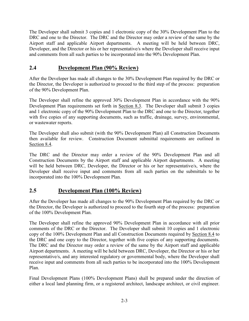The Developer shall submit 3 copies and 1 electronic copy of the 30% Development Plan to the DRC and one to the Director. The DRC and the Director may order a review of the same by the Airport staff and applicable Airport departments. A meeting will be held between DRC, Developer, and the Director or his or her representative/s where the Developer shall receive input and comments from all such parties to be incorporated into the 90% Development Plan.

## **2.4 Development Plan (90% Review)**

After the Developer has made all changes to the 30% Development Plan required by the DRC or the Director, the Developer is authorized to proceed to the third step of the process: preparation of the 90% Development Plan.

The Developer shall refine the approved 30% Development Plan in accordance with the 90% Development Plan requirements set forth in Section 8.3. The Developer shall submit 3 copies and 1 electronic copy of the 90% Development Plan to the DRC and one to the Director, together with five copies of any supporting documents, such as traffic, drainage, survey, environmental, or wastewater reports.

The Developer shall also submit (with the 90% Development Plan) all Construction Documents then available for review. Construction Document submittal requirements are outlined in Section 8.4.

The DRC and the Director may order a review of the 90% Development Plan and all Construction Documents by the Airport staff and applicable Airport departments. A meeting will be held between DRC, Developer, the Director or his or her representative/s, where the Developer shall receive input and comments from all such parties on the submittals to be incorporated into the 100% Development Plan.

## **2.5 Development Plan (100% Review)**

After the Developer has made all changes to the 90% Development Plan required by the DRC or the Director, the Developer is authorized to proceed to the fourth step of the process: preparation of the 100% Development Plan.

The Developer shall refine the approved 90% Development Plan in accordance with all prior comments of the DRC or the Director. The Developer shall submit 10 copies and 1 electronic copy of the 100% Development Plan and all Construction Documents required by Section 8.4 to the DRC and one copy to the Director, together with five copies of any supporting documents. The DRC and the Director may order a review of the same by the Airport staff and applicable Airport departments. A meeting will be held between DRC, Developer, the Director or his or her representative/s, and any interested regulatory or governmental body, where the Developer shall receive input and comments from all such parties to be incorporated into the 100% Development Plan.

Final Development Plans (100% Development Plans) shall be prepared under the direction of either a local land planning firm, or a registered architect, landscape architect, or civil engineer.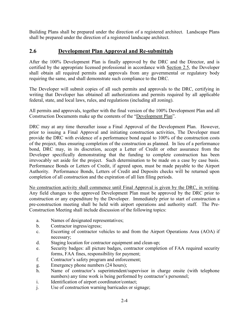Building Plans shall be prepared under the direction of a registered architect. Landscape Plans shall be prepared under the direction of a registered landscape architect.

#### **2.6 Development Plan Approval and Re-submittals**

After the 100% Development Plan is finally approved by the DRC and the Director, and is certified by the appropriate licensed professional in accordance with Section 2.5, the Developer shall obtain all required permits and approvals from any governmental or regulatory body requiring the same, and shall demonstrate such compliance to the DRC.

The Developer will submit copies of all such permits and approvals to the DRC, certifying in writing that Developer has obtained all authorizations and permits required by all applicable federal, state, and local laws, rules, and regulations (including all zoning).

All permits and approvals, together with the final version of the 100% Development Plan and all Construction Documents make up the contents of the "Development Plan".

DRC may at any time thereafter issue a Final Approval of the Development Plan. However, prior to issuing a Final Approval and initiating construction activities, The Developer must provide the DRC with evidence of a performance bond equal to 100% of the construction costs of the project, thus ensuring completion of the construction as planned. In lieu of a performance bond, DRC may, in its discretion, accept a Letter of Credit or other assurance from the Developer specifically demonstrating that the funding to complete construction has been irrevocably set aside for the project. Such determination to be made on a case by case basis. Performance Bonds or Letters of Credit, if agreed upon, must be made payable to the Airport Authority. Performance Bonds, Letters of Credit and Deposits checks will be returned upon completion of all construction and the expiration of all lien filing periods.

No construction activity shall commence until Final Approval is given by the DRC, in writing. Any field changes to the approved Development Plan must be approved by the DRC prior to construction or any expenditure by the Developer. Immediately prior to start of construction a pre-construction meeting shall be held with airport operations and authority staff. The Pre-Construction Meeting shall include discussion of the following topics:

- a. Names of designated representatives;
- b. Contractor ingress/egress;
- c. Escorting of contractor vehicles to and from the Airport Operations Area (AOA) if necessary;
- d. Staging location for contractor equipment and clean-up;
- e. Security badges: all picture badges, contractor completion of FAA required security forms, FAA fines, responsibility for payment;
- f. Contractor's safety program and enforcement;
- g. Emergency phone numbers (24 hours);
- h. Name of contractor's superintendent/supervisor in charge onsite (with telephone numbers) any time work is being performed by contractor's personnel;
- i. Identification of airport coordinator/contact;
- j. Use of construction warning barricades or signage;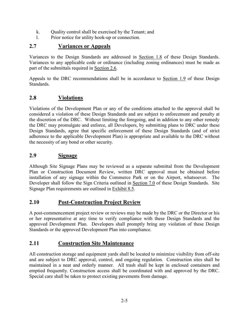- k. Ouality control shall be exercised by the Tenant; and
- l. Prior notice for utility hook-up or connection.

## **2.7 Variances or Appeals**

Variances to the Design Standards are addressed in Section 1.8 of these Design Standards. Variances to any applicable code or ordinance (including zoning ordinances) must be made as part of the submittals required in Section 2.6.

Appeals to the DRC recommendations shall be in accordance to Section 1.9 of these Design Standards.

## **2.8 Violations**

Violations of the Development Plan or any of the conditions attached to the approval shall be considered a violation of these Design Standards and are subject to enforcement and penalty at the discretion of the DRC. Without limiting the foregoing, and in addition to any other remedy the DRC may promulgate and enforce, all Developers, by submitting plans to DRC under these Design Standards, agree that specific enforcement of these Design Standards (and of strict adherence to the applicable Development Plan) is appropriate and available to the DRC without the necessity of any bond or other security.

## **2.9 Signage**

Although Site Signage Plans may be reviewed as a separate submittal from the Development Plan or Construction Document Review, written DRC approval must be obtained before installation of any signage within the Commerce Park or on the Airport, whatsoever. The Developer shall follow the Sign Criteria outlined in Section 7.0 of these Design Standards. Site Signage Plan requirements are outlined in Exhibit 8.5.

#### **2.10 Post-Construction Project Review**

A post-commencement project review or reviews may be made by the DRC or the Director or his or her representative at any time to verify compliance with these Design Standards and the approved Development Plan. Developers shall promptly bring any violation of these Design Standards or the approved Development Plan into compliance.

#### **2.11 Construction Site Maintenance**

All construction storage and equipment yards shall be located to minimize visibility from off-site and are subject to DRC approval, control, and ongoing regulation. Construction sites shall be maintained in a neat and orderly manner. All trash shall be kept in enclosed containers and emptied frequently. Construction access shall be coordinated with and approved by the DRC. Special care shall be taken to protect existing pavements from damage.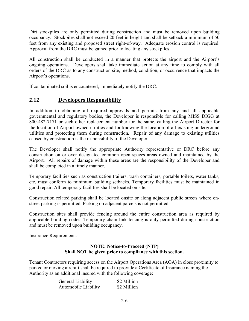Dirt stockpiles are only permitted during construction and must be removed upon building occupancy. Stockpiles shall not exceed 20 feet in height and shall be setback a minimum of 50 feet from any existing and proposed street right-of-way. Adequate erosion control is required. Approval from the DRC must be gained prior to locating any stockpiles.

All construction shall be conducted in a manner that protects the airport and the Airport's ongoing operations. Developers shall take immediate action at any time to comply with all orders of the DRC as to any construction site, method, condition, or occurrence that impacts the Airport's operations.

If contaminated soil is encountered, immediately notify the DRC.

# **2.12 Developers Responsibility**

In addition to obtaining all required approvals and permits from any and all applicable governmental and regulatory bodies, the Developer is responsible for calling MISS DIGG at 800-482-7171 or such other replacement number for the same, calling the Airport Director for the location of Airport owned utilities and for knowing the location of all existing underground utilities and protecting them during construction. Repair of any damage to existing utilities caused by construction is the responsibility of the Developer.

The Developer shall notify the appropriate Authority representative or DRC before any construction on or over designated common open spaces areas owned and maintained by the Airport. All repairs of damage within these areas are the responsibility of the Developer and shall be completed in a timely manner.

Temporary facilities such as construction trailers, trash containers, portable toilets, water tanks, etc. must conform to minimum building setbacks. Temporary facilities must be maintained in good repair. All temporary facilities shall be located on site.

Construction related parking shall be located onsite or along adjacent public streets where onstreet parking is permitted. Parking on adjacent parcels is not permitted.

Construction sites shall provide fencing around the entire construction area as required by applicable building codes. Temporary chain link fencing is only permitted during construction and must be removed upon building occupancy.

Insurance Requirements:

#### **NOTE: Notice-to-Proceed (NTP) Shall NOT be given prior to compliance with this section.**

Tenant Contractors requiring access on the Airport Operations Area (AOA) in close proximity to parked or moving aircraft shall be required to provide a Certificate of Insurance naming the Authority as an additional insured with the following coverage:

| General Liability    | \$2 Million |
|----------------------|-------------|
| Automobile Liability | \$2 Million |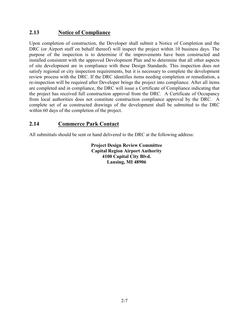#### **2.13 Notice of Compliance**

Upon completion of construction, the Developer shall submit a Notice of Completion and the DRC (or Airport staff on behalf thereof) will inspect the project within 10 business days. The purpose of the inspection is to determine if the improvements have been constructed and installed consistent with the approved Development Plan and to determine that all other aspects of site development are in compliance with these Design Standards. This inspection does not satisfy regional or city inspection requirements, but it is necessary to complete the development review process with the DRC. If the DRC identifies items needing completion or remediation, a re-inspection will be required after Developer brings the project into compliance. After all items are completed and in compliance, the DRC will issue a Certificate of Compliance indicating that the project has received full construction approval from the DRC. A Certificate of Occupancy from local authorities does not constitute construction compliance approval by the DRC. A complete set of as constructed drawings of the development shall be submitted to the DRC within 60 days of the completion of the project.

#### **2.14 Commerce Park Contact**

All submittals should be sent or hand delivered to the DRC at the following address:

**Project Design Review Committee Capital Region Airport Authority 4100 Capital City Blvd. Lansing, MI 48906**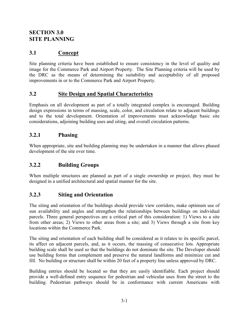# **SECTION 3.0 SITE PLANNING**

# **3.1 Concept**

Site planning criteria have been established to ensure consistency in the level of quality and image for the Commerce Park and Airport Property. The Site Planning criteria will be used by the DRC as the means of determining the suitability and acceptability of all proposed improvements in or to the Commerce Park and Airport Property.

## **3.2 Site Design and Spatial Characteristics**

Emphasis on all development as part of a totally integrated complex is encouraged. Building design expressions in terms of massing, scale, color, and circulation relate to adjacent buildings and to the total development. Orientation of improvements must acknowledge basic site considerations, adjoining building uses and siting, and overall circulation patterns.

#### **3.2.1 Phasing**

When appropriate, site and building planning may be undertaken in a manner that allows phased development of the site over time.

## **3.2.2 Building Groups**

When multiple structures are planned as part of a single ownership or project, they must be designed in a unified architectural and spatial manner for the site.

## **3.2.3 Siting and Orientation**

The siting and orientation of the buildings should provide view corridors, make optimum use of sun availability and angles and strengthen the relationships between buildings on individual parcels. Three general perspectives are a critical part of this consideration: 1) Views to a site from other areas; 2) Views to other areas from a site; and 3) Views through a site from key locations within the Commerce Park.

The siting and orientation of each building shall be considered as it relates to its specific parcel, its affect on adjacent parcels, and, as it occurs, the massing of consecutive lots. Appropriate building scale shall be used so that the buildings do not dominate the site. The Developer should use building forms that complement and preserve the natural landforms and minimize cut and fill. No building or structure shall be within 20 feet of a property line unless approved by DRC.

Building entries should be located so that they are easily identifiable. Each project should provide a well-defined entry sequence for pedestrian and vehicular uses from the street to the building. Pedestrian pathways should be in conformance with current Americans with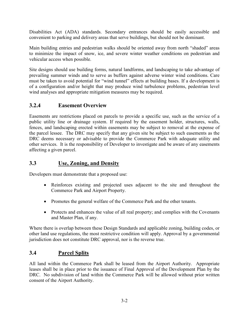Disabilities Act (ADA) standards. Secondary entrances should be easily accessible and convenient to parking and delivery areas that serve buildings, but should not be dominant.

Main building entries and pedestrian walks should be oriented away from north "shaded" areas to minimize the impact of snow, ice, and severe winter weather conditions on pedestrian and vehicular access when possible.

Site designs should use building forms, natural landforms, and landscaping to take advantage of prevailing summer winds and to serve as buffers against adverse winter wind conditions. Care must be taken to avoid potential for "wind tunnel" effects at building bases. If a development is of a configuration and/or height that may produce wind turbulence problems, pedestrian level wind analyses and appropriate mitigation measures may be required.

## **3.2.4 Easement Overview**

Easements are restrictions placed on parcels to provide a specific use, such as the service of a public utility line or drainage system. If required by the easement holder, structures, walls, fences, and landscaping erected within easements may be subject to removal at the expense of the parcel lessee. The DRC may specify that any given site be subject to such easements as the DRC deems necessary or advisable to provide the Commerce Park with adequate utility and other services. It is the responsibility of Developer to investigate and be aware of any easements affecting a given parcel.

#### **3.3 Use, Zoning, and Density**

Developers must demonstrate that a proposed use:

- Reinforces existing and projected uses adjacent to the site and throughout the Commerce Park and Airport Property.
- Promotes the general welfare of the Commerce Park and the other tenants.
- Protects and enhances the value of all real property; and complies with the Covenants and Master Plan, if any.

Where there is overlap between these Design Standards and applicable zoning, building codes, or other land use regulations, the most restrictive condition will apply. Approval by a governmental jurisdiction does not constitute DRC approval, nor is the reverse true.

## **3.4 Parcel Splits**

All land within the Commerce Park shall be leased from the Airport Authority. Appropriate leases shall be in place prior to the issuance of Final Approval of the Development Plan by the DRC. No subdivision of land within the Commerce Park will be allowed without prior written consent of the Airport Authority.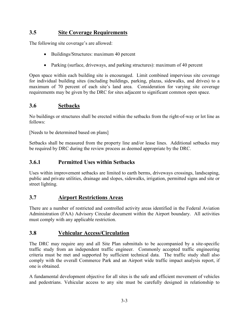# **3.5 Site Coverage Requirements**

The following site coverage's are allowed:

- Buildings/Structures: maximum 40 percent
- Parking (surface, driveways, and parking structures): maximum of 40 percent

Open space within each building site is encouraged. Limit combined impervious site coverage for individual building sites (including buildings, parking, plazas, sidewalks, and drives) to a maximum of 70 percent of each site's land area. Consideration for varying site coverage requirements may be given by the DRC for sites adjacent to significant common open space.

#### **3.6 Setbacks**

No buildings or structures shall be erected within the setbacks from the right-of-way or lot line as follows:

[Needs to be determined based on plans]

Setbacks shall be measured from the property line and/or lease lines. Additional setbacks may be required by DRC during the review process as deemed appropriate by the DRC.

#### **3.6.1 Permitted Uses within Setbacks**

Uses within improvement setbacks are limited to earth berms, driveways crossings, landscaping, public and private utilities, drainage and slopes, sidewalks, irrigation, permitted signs and site or street lighting.

#### **3.7 Airport Restrictions Areas**

There are a number of restricted and controlled activity areas identified in the Federal Aviation Administration (FAA) Advisory Circular document within the Airport boundary. All activities must comply with any applicable restriction.

#### **3.8 Vehicular Access/Circulation**

The DRC may require any and all Site Plan submittals to be accompanied by a site-specific traffic study from an independent traffic engineer. Commonly accepted traffic engineering criteria must be met and supported by sufficient technical data. The traffic study shall also comply with the overall Commerce Park and an Airport wide traffic impact analysis report, if one is obtained.

A fundamental development objective for all sites is the safe and efficient movement of vehicles and pedestrians. Vehicular access to any site must be carefully designed in relationship to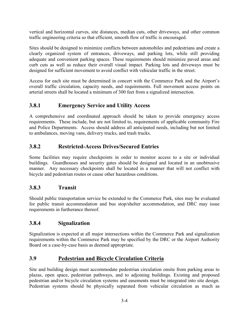vertical and horizontal curves, site distances, median cuts, other driveways, and other common traffic engineering criteria so that efficient, smooth flow of traffic is encouraged.

Sites should be designed to minimize conflicts between automobiles and pedestrians and create a clearly organized system of entrances, driveways, and parking lots, while still providing adequate and convenient parking spaces. These requirements should minimize paved areas and curb cuts as well as reduce their overall visual impact. Parking lots and driveways must be designed for sufficient movement to avoid conflict with vehicular traffic in the street.

Access for each site must be determined in concert with the Commerce Park and the Airport's overall traffic circulation, capacity needs, and requirements. Full movement access points on arterial streets shall be located a minimum of 300 feet from a signalized intersection.

# **3.8.1 Emergency Service and Utility Access**

A comprehensive and coordinated approach should be taken to provide emergency access requirements. These include, but are not limited to, requirements of applicable community Fire and Police Departments. Access should address all anticipated needs, including but not limited to ambulances, moving vans, delivery trucks, and trash trucks.

# **3.8.2 Restricted-Access Drives/Secured Entries**

Some facilities may require checkpoints in order to monitor access to a site or individual buildings. Guardhouses and security gates should be designed and located in an unobtrusive manner. Any necessary checkpoints shall be located in a manner that will not conflict with bicycle and pedestrian routes or cause other hazardous conditions.

## **3.8.3 Transit**

Should public transportation service be extended to the Commerce Park, sites may be evaluated for public transit accommodation and bus stop/shelter accommodation, and DRC may issue requirements in furtherance thereof.

## **3.8.4 Signalization**

Signalization is expected at all major intersections within the Commerce Park and signalization requirements within the Commerce Park may be specified by the DRC or the Airport Authority Board on a case-by-case basis as deemed appropriate.

## **3.9 Pedestrian and Bicycle Circulation Criteria**

Site and building design must accommodate pedestrian circulation onsite from parking areas to plazas, open space, pedestrian pathways, and to adjoining buildings. Existing and proposed pedestrian and/or bicycle circulation systems and easements must be integrated into site design. Pedestrian systems should be physically separated from vehicular circulation as much as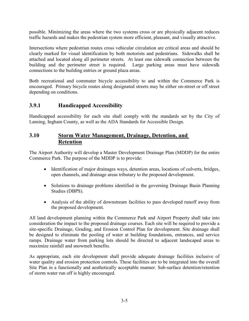possible. Minimizing the areas where the two systems cross or are physically adjacent reduces traffic hazards and makes the pedestrian system more efficient, pleasant, and visually attractive.

Intersections where pedestrian routes cross vehicular circulation are critical areas and should be clearly marked for visual identification by both motorists and pedestrians. Sidewalks shall be attached and located along all perimeter streets. At least one sidewalk connection between the building and the perimeter street is required. Large parking areas must have sidewalk connections to the building entries or ground plaza areas.

Both recreational and commuter bicycle accessibility to and within the Commerce Park is encouraged. Primary bicycle routes along designated streets may be either on-street or off street depending on conditions.

# **3.9.1 Handicapped Accessibility**

Handicapped accessibility for each site shall comply with the standards set by the City of Lansing, Ingham County, as well as the ADA Standards for Accessible Design.

#### **3.10 Storm Water Management, Drainage, Detention, and Retention**

The Airport Authority will develop a Master Development Drainage Plan (MDDP) for the entire Commerce Park. The purpose of the MDDP is to provide:

- Identification of major drainages ways, detention areas, locations of culverts, bridges, open channels, and drainage areas tributary to the proposed development.
- Solutions to drainage problems identified in the governing Drainage Basin Planning Studies (DBPS).
- Analysis of the ability of downstream facilities to pass developed runoff away from the proposed development.

All land development planning within the Commerce Park and Airport Property shall take into consideration the impact to the proposed drainage courses. Each site will be required to provide a site-specific Drainage, Grading, and Erosion Control Plan for development. Site drainage shall be designed to eliminate the pooling of water at building foundations, entrances, and service ramps. Drainage water from parking lots should be directed to adjacent landscaped areas to maximize rainfall and snowmelt benefits.

As appropriate, each site development shall provide adequate drainage facilities inclusive of water quality and erosion protection controls. These facilities are to be integrated into the overall Site Plan in a functionally and aesthetically acceptable manner. Sub-surface detention/retention of storm water run off is highly encouraged.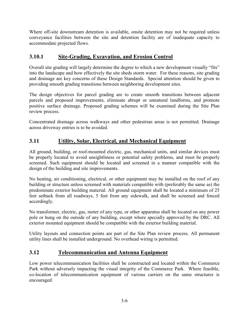Where off-site downstream detention is available, onsite detention may not be required unless conveyance facilities between the site and detention facility are of inadequate capacity to accommodate projected flows.

# **3.10.1 Site-Grading, Excavation, and Erosion Control**

Overall site grading will largely determine the degree to which a new development visually "fits" into the landscape and how effectively the site sheds storm water. For these reasons, site grading and drainage are key concerns of these Design Standards. Special attention should be given to providing smooth grading transitions between neighboring development sites.

The design objectives for parcel grading are to create smooth transitions between adjacent parcels and proposed improvements, eliminate abrupt or unnatural landforms, and promote positive surface drainage. Proposed grading schemes will be examined during the Site Plan review process.

Concentrated drainage across walkways and other pedestrian areas is not permitted. Drainage across driveway entries is to be avoided.

# **3.11 Utility, Solar, Electrical, and Mechanical Equipment**

All ground, building, or roof-mounted electric, gas, mechanical units, and similar devices must be properly located to avoid unsightliness or potential safety problems, and must be properly screened. Such equipment should be located and screened in a manner compatible with the design of the building and site improvements.

No heating, air conditioning, electrical, or other equipment may be installed on the roof of any building or structure unless screened with materials compatible with (preferably the same as) the predominate exterior building material. All ground equipment shall be located a minimum of 25 feet setback from all roadways, 5 feet from any sidewalk, and shall be screened and fenced accordingly.

No transformer, electric, gas, meter of any type, or other apparatus shall be located on any power pole or hung on the outside of any building, except where specially approved by the DRC. All exterior mounted equipment should be compatible with the exterior building material.

Utility layouts and connection points are part of the Site Plan review process. All permanent utility lines shall be installed underground. No overhead wiring is permitted.

## **3.12 Telecommunication and Antenna Equipment**

Low power telecommunication facilities shall be constructed and located within the Commerce Park without adversely impacting the visual integrity of the Commerce Park. Where feasible, co-location of telecommunication equipment of various carriers on the same structures is encouraged.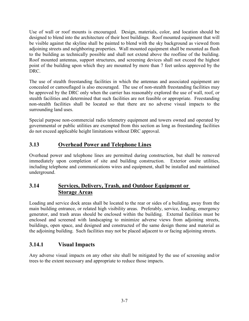Use of wall or roof mounts is encouraged. Design, materials, color, and location should be designed to blend into the architecture of their host buildings. Roof mounted equipment that will be visible against the skyline shall be painted to blend with the sky background as viewed from adjoining streets and neighboring properties. Wall mounted equipment shall be mounted as flush to the building as technically possible and shall not extend above the roofline of the building. Roof mounted antennas, support structures, and screening devices shall not exceed the highest point of the building upon which they are mounted by more than 7 feet unless approved by the DRC.

The use of stealth freestanding facilities in which the antennas and associated equipment are concealed or camouflaged is also encouraged. The use of non-stealth freestanding facilities may be approved by the DRC only when the carrier has reasonably explored the use of wall, roof, or stealth facilities and determined that such facilities are not feasible or appropriate. Freestanding non-stealth facilities shall be located so that there are no adverse visual impacts to the surrounding land uses.

Special purpose non-commercial radio telemetry equipment and towers owned and operated by governmental or public utilities are exempted from this section as long as freestanding facilities do not exceed applicable height limitations without DRC approval.

# **3.13 Overhead Power and Telephone Lines**

Overhead power and telephone lines are permitted during construction, but shall be removed immediately upon completion of site and building construction. Exterior onsite utilities, including telephone and communications wires and equipment, shall be installed and maintained underground.

# **3.14 Services, Delivery, Trash, and Outdoor Equipment or Storage Areas**

Loading and service dock areas shall be located to the rear or sides of a building, away from the main building entrance, or related high visibility areas. Preferably, service, loading, emergency generator, and trash areas should be enclosed within the building. External facilities must be enclosed and screened with landscaping to minimize adverse views from adjoining streets, buildings, open space, and designed and constructed of the same design theme and material as the adjoining building. Such facilities may not be placed adjacent to or facing adjoining streets.

# **3.14.1 Visual Impacts**

Any adverse visual impacts on any other site shall be mitigated by the use of screening and/or trees to the extent necessary and appropriate to reduce those impacts.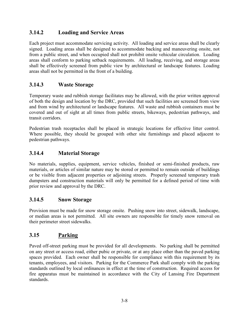## **3.14.2 Loading and Service Areas**

Each project must accommodate servicing activity. All loading and service areas shall be clearly signed. Loading areas shall be designed to accommodate backing and maneuvering onsite, not from a public street, and when occupied shall not prohibit onsite vehicular circulation. Loading areas shall conform to parking setback requirements. All loading, receiving, and storage areas shall be effectively screened from public view by architectural or landscape features. Loading areas shall not be permitted in the front of a building.

#### **3.14.3 Waste Storage**

Temporary waste and rubbish storage facilitates may be allowed, with the prior written approval of both the design and location by the DRC, provided that such facilities are screened from view and from wind by architectural or landscape features. All waste and rubbish containers must be covered and out of sight at all times from public streets, bikeways, pedestrian pathways, and transit corridors.

Pedestrian trash receptacles shall be placed in strategic locations for effective litter control. Where possible, they should be grouped with other site furnishings and placed adjacent to pedestrian pathways.

## **3.14.4 Material Storage**

No materials, supplies, equipment, service vehicles, finished or semi-finished products, raw materials, or articles of similar nature may be stored or permitted to remain outside of buildings or be visible from adjacent properties or adjoining streets. Properly screened temporary trash dumpsters and construction materials will only be permitted for a defined period of time with prior review and approval by the DRC.

#### **3.14.5 Snow Storage**

Provision must be made for snow storage onsite. Pushing snow into street, sidewalk, landscape, or median areas is not permitted. All site owners are responsible for timely snow removal on their perimeter street sidewalks.

## **3.15 Parking**

Paved off-street parking must be provided for all developments. No parking shall be permitted on any street or access road, either pubic or private, or at any place other than the paved parking spaces provided. Each owner shall be responsible for compliance with this requirement by its tenants, employees, and visitors. Parking for the Commerce Park shall comply with the parking standards outlined by local ordinances in effect at the time of construction. Required access for fire apparatus must be maintained in accordance with the City of Lansing Fire Department standards.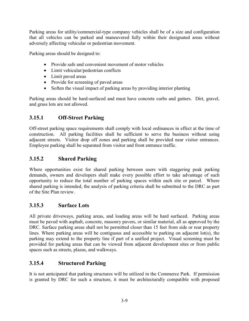Parking areas for utility/commercial-type company vehicles shall be of a size and configuration that all vehicles can be parked and maneuvered fully within their designated areas without adversely affecting vehicular or pedestrian movement.

Parking areas should be designed to:

- Provide safe and convenient movement of motor vehicles
- Limit vehicular/pedestrian conflicts
- Limit paved areas
- Provide for screening of paved areas
- Soften the visual impact of parking areas by providing interior planting

Parking areas should be hard-surfaced and must have concrete curbs and gutters. Dirt, gravel, and grass lots are not allowed.

## **3.15.1 Off-Street Parking**

Off-street parking space requirements shall comply with local ordinances in effect at the time of construction. All parking facilities shall be sufficient to serve the business without using adjacent streets. Visitor drop off zones and parking shall be provided near visitor entrances. Employee parking shall be separated from visitor and front entrance traffic.

# **3.15.2 Shared Parking**

Where opportunities exist for shared parking between users with staggering peak parking demands, owners and developers shall make every possible effort to take advantage of such opportunity to reduce the total number of parking spaces within each site or parcel. Where shared parking is intended, the analysis of parking criteria shall be submitted to the DRC as part of the Site Plan review.

## **3.15.3 Surface Lots**

All private driveways, parking areas, and loading areas will be hard surfaced. Parking areas must be paved with asphalt, concrete, masonry pavers, or similar material, all as approved by the DRC. Surface parking areas shall not be permitted closer than 15 feet from side or rear property lines. Where parking areas will be contiguous and accessible to parking on adjacent lot(s), the parking may extend to the property line if part of a unified project. Visual screening must be provided for parking areas that can be viewed from adjacent development sites or from public spaces such as streets, plazas, and walkways.

## **3.15.4 Structured Parking**

It is not anticipated that parking structures will be utilized in the Commerce Park. If permission is granted by DRC for such a structure, it must be architecturally compatible with proposed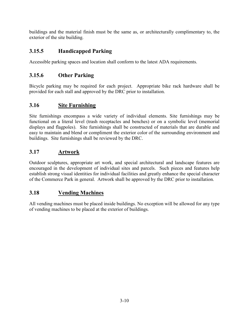buildings and the material finish must be the same as, or architecturally complimentary to, the exterior of the site building.

# **3.15.5 Handicapped Parking**

Accessible parking spaces and location shall conform to the latest ADA requirements.

# **3.15.6 Other Parking**

Bicycle parking may be required for each project. Appropriate bike rack hardware shall be provided for each stall and approved by the DRC prior to installation.

## **3.16 Site Furnishing**

Site furnishings encompass a wide variety of individual elements. Site furnishings may be functional on a literal level (trash receptacles and benches) or on a symbolic level (memorial displays and flagpoles). Site furnishings shall be constructed of materials that are durable and easy to maintain and blend or compliment the exterior color of the surrounding environment and buildings. Site furnishings shall be reviewed by the DRC.

# **3.17 Artwork**

Outdoor sculptures, appropriate art work, and special architectural and landscape features are encouraged in the development of individual sites and parcels. Such pieces and features help establish strong visual identities for individual facilities and greatly enhance the special character of the Commerce Park in general. Artwork shall be approved by the DRC prior to installation.

## **3.18 Vending Machines**

All vending machines must be placed inside buildings. No exception will be allowed for any type of vending machines to be placed at the exterior of buildings.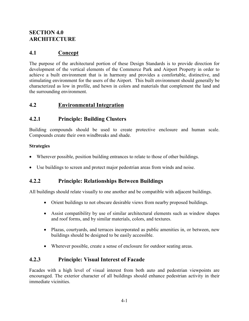# **SECTION 4.0 ARCHITECTURE**

# **4.1 Concept**

The purpose of the architectural portion of these Design Standards is to provide direction for development of the vertical elements of the Commerce Park and Airport Property in order to achieve a built environment that is in harmony and provides a comfortable, distinctive, and stimulating environment for the users of the Airport. This built environment should generally be characterized as low in profile, and hewn in colors and materials that complement the land and the surrounding environment.

# **4.2 Environmental Integration**

#### **4.2.1 Principle: Building Clusters**

Building compounds should be used to create protective enclosure and human scale. Compounds create their own windbreaks and shade.

#### **Strategies**

- Wherever possible, position building entrances to relate to those of other buildings.
- Use buildings to screen and protect major pedestrian areas from winds and noise.

#### **4.2.2 Principle: Relationships Between Buildings**

All buildings should relate visually to one another and be compatible with adjacent buildings.

- Orient buildings to not obscure desirable views from nearby proposed buildings.
- Assist compatibility by use of similar architectural elements such as window shapes and roof forms, and by similar materials, colors, and textures.
- Plazas, courtyards, and terraces incorporated as public amenities in, or between, new buildings should be designed to be easily accessible.
- Wherever possible, create a sense of enclosure for outdoor seating areas.

#### **4.2.3 Principle: Visual Interest of Facade**

Facades with a high level of visual interest from both auto and pedestrian viewpoints are encouraged. The exterior character of all buildings should enhance pedestrian activity in their immediate vicinities.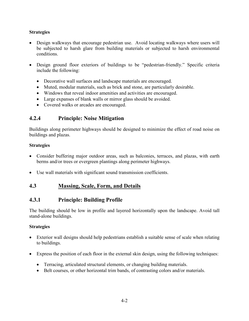#### **Strategies**

- Design walkways that encourage pedestrian use. Avoid locating walkways where users will be subjected to harsh glare from building materials or subjected to harsh environmental conditions.
- Design ground floor exteriors of buildings to be "pedestrian-friendly." Specific criteria include the following:
	- Decorative wall surfaces and landscape materials are encouraged.
	- Muted, modular materials, such as brick and stone, are particularly desirable.
	- Windows that reveal indoor amenities and activities are encouraged.
	- Large expanses of blank walls or mirror glass should be avoided.
	- Covered walks or arcades are encouraged.

#### **4.2.4 Principle: Noise Mitigation**

Buildings along perimeter highways should be designed to minimize the effect of road noise on buildings and plazas.

#### **Strategies**

- Consider buffering major outdoor areas, such as balconies, terraces, and plazas, with earth berms and/or trees or evergreen plantings along perimeter highways.
- Use wall materials with significant sound transmission coefficients.

#### **4.3 Massing, Scale, Form, and Details**

#### **4.3.1 Principle: Building Profile**

The building should be low in profile and layered horizontally upon the landscape. Avoid tall stand-alone buildings.

#### **Strategies**

- Exterior wall designs should help pedestrians establish a suitable sense of scale when relating to buildings.
- Express the position of each floor in the external skin design, using the following techniques:
	- Terracing, articulated structural elements, or changing building materials.
	- Belt courses, or other horizontal trim bands, of contrasting colors and/or materials.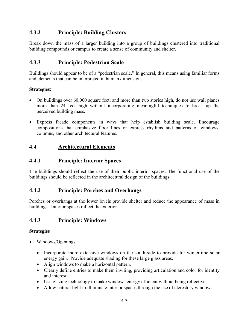# **4.3.2 Principle: Building Clusters**

Break down the mass of a larger building into a group of buildings clustered into traditional building compounds or campus to create a sense of community and shelter.

## **4.3.3 Principle: Pedestrian Scale**

Buildings should appear to be of a "pedestrian scale." In general, this means using familiar forms and elements that can be interpreted in human dimensions.

#### **Strategies:**

- On buildings over 60,000 square feet, and more than two stories high, do not use wall planes more than 24 feet high without incorporating meaningful techniques to break up the perceived building mass.
- Express facade components in ways that help establish building scale. Encourage compositions that emphasize floor lines or express rhythms and patterns of windows, columns, and other architectural features.

# **4.4 Architectural Elements**

#### **4.4.1 Principle: Interior Spaces**

The buildings should reflect the use of their public interior spaces. The functional use of the buildings should be reflected in the architectural design of the buildings.

## **4.4.2 Principle: Porches and Overhangs**

Porches or overhangs at the lower levels provide shelter and reduce the appearance of mass in buildings. Interior spaces reflect the exterior.

## **4.4.3 Principle: Windows**

#### **Strategies**

- Windows/Openings:
	- Incorporate more extensive windows on the south side to provide for wintertime solar energy gain. Provide adequate shading for these large glass areas.
	- Align windows to make a horizontal pattern.
	- Clearly define entries to make them inviting, providing articulation and color for identity and interest.
	- Use glazing technology to make windows energy efficient without being reflective.
	- Allow natural light to illuminate interior spaces through the use of clerestory windows.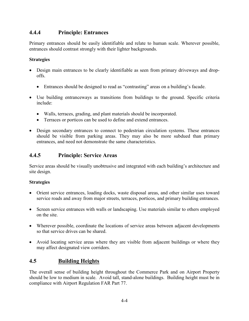#### **4.4.4 Principle: Entrances**

Primary entrances should be easily identifiable and relate to human scale. Wherever possible, entrances should contrast strongly with their lighter backgrounds.

#### **Strategies**

- Design main entrances to be clearly identifiable as seen from primary driveways and dropoffs.
	- Entrances should be designed to read as "contrasting" areas on a building's facade.
- Use building entranceways as transitions from buildings to the ground. Specific criteria include:
	- Walls, terraces, grading, and plant materials should be incorporated.
	- Terraces or porticos can be used to define and extend entrances.
- Design secondary entrances to connect to pedestrian circulation systems. These entrances should be visible from parking areas. They may also be more subdued than primary entrances, and need not demonstrate the same characteristics.

# **4.4.5 Principle: Service Areas**

Service areas should be visually unobtrusive and integrated with each building's architecture and site design.

#### **Strategies**

- Orient service entrances, loading docks, waste disposal areas, and other similar uses toward service roads and away from major streets, terraces, porticos, and primary building entrances.
- Screen service entrances with walls or landscaping. Use materials similar to others employed on the site.
- Wherever possible, coordinate the locations of service areas between adjacent developments so that service drives can be shared.
- Avoid locating service areas where they are visible from adjacent buildings or where they may affect designated view corridors.

# **4.5 Building Heights**

The overall sense of building height throughout the Commerce Park and on Airport Property should be low to medium in scale. Avoid tall, stand-alone buildings. Building height must be in compliance with Airport Regulation FAR Part 77.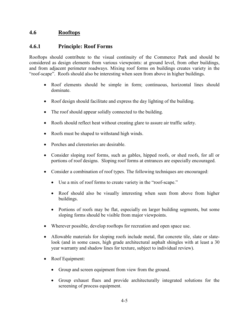#### **4.6 Rooftops**

#### **4.6.1 Principle: Roof Forms**

Rooftops should contribute to the visual continuity of the Commerce Park and should be considered as design elements from various viewpoints: at ground level, from other buildings, and from adjacent perimeter roadways. Mixing roof forms on buildings creates variety in the "roof-scape". Roofs should also be interesting when seen from above in higher buildings.

- Roof elements should be simple in form; continuous, horizontal lines should dominate.
- Roof design should facilitate and express the day lighting of the building.
- The roof should appear solidly connected to the building.
- Roofs should reflect heat without creating glare to assure air traffic safety.
- Roofs must be shaped to withstand high winds.
- Porches and clerestories are desirable.
- Consider sloping roof forms, such as gables, hipped roofs, or shed roofs, for all or portions of roof designs. Sloping roof forms at entrances are especially encouraged.
- Consider a combination of roof types. The following techniques are encouraged:
	- Use a mix of roof forms to create variety in the "roof-scape."
	- Roof should also be visually interesting when seen from above from higher buildings.
	- Portions of roofs may be flat, especially on larger building segments, but some sloping forms should be visible from major viewpoints.
- Wherever possible, develop rooftops for recreation and open space use.
- Allowable materials for sloping roofs include metal, flat concrete tile, slate or slatelook (and in some cases, high grade architectural asphalt shingles with at least a 30 year warranty and shadow lines for texture, subject to individual review).
- Roof Equipment:
	- Group and screen equipment from view from the ground.
	- Group exhaust flues and provide architecturally integrated solutions for the screening of process equipment.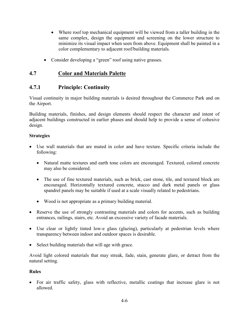- Where roof top mechanical equipment will be viewed from a taller building in the same complex, design the equipment and screening on the lower structure to minimize its visual impact when seen from above. Equipment shall be painted in a color complementary to adjacent roof/building materials.
- Consider developing a "green" roof using native grasses.

#### **4.7 Color and Materials Palette**

#### **4.7.1 Principle: Continuity**

Visual continuity in major building materials is desired throughout the Commerce Park and on the Airport.

Building materials, finishes, and design elements should respect the character and intent of adjacent buildings constructed in earlier phases and should help to provide a sense of cohesive design.

#### **Strategies**

- Use wall materials that are muted in color and have texture. Specific criteria include the following:
	- Natural matte textures and earth tone colors are encouraged. Textured, colored concrete may also be considered.
	- The use of fine textured materials, such as brick, cast stone, tile, and textured block are encouraged. Horizontally textured concrete, stucco and dark metal panels or glass spandrel panels may be suitable if used at a scale visually related to pedestrians.
	- Wood is not appropriate as a primary building material.
- Reserve the use of strongly contrasting materials and colors for accents, such as building entrances, railings, stairs, etc. Avoid an excessive variety of facade materials.
- Use clear or lightly tinted low-e glass (glazing), particularly at pedestrian levels where transparency between indoor and outdoor spaces is desirable.
- Select building materials that will age with grace.

Avoid light colored materials that may streak, fade, stain, generate glare, or detract from the natural setting.

#### **Rules**

• For air traffic safety, glass with reflective, metallic coatings that increase glare is not allowed.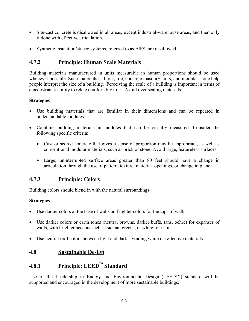- Site-cast concrete is disallowed in all areas, except industrial-warehouse areas, and then only if done with effective articulation.
- Synthetic insulation/stucco systems, referred to as EIFS, are disallowed.

# **4.7.2 Principle: Human Scale Materials**

Building materials manufactured in units measurable in human proportions should be used whenever possible. Such materials as brick, tile, concrete masonry units, and modular stone help people interpret the size of a building. Perceiving the scale of a building is important in terms of a pedestrian's ability to relate comfortably to it. Avoid over scaling materials.

#### **Strategies**

- Use building materials that are familiar in their dimensions and can be repeated in understandable modules.
- Combine building materials in modules that can be visually measured. Consider the following specific criteria:
	- Cast or scored concrete that gives a sense of proportion may be appropriate, as well as conventional modular materials, such as brick or stone. Avoid large, featureless surfaces.
	- Large, uninterrupted surface areas greater than 80 feet should have a change in articulation through the use of pattern, texture, material, openings, or change in plane.

## **4.7.3 Principle: Colors**

Building colors should blend in with the natural surroundings.

#### **Strategies**

- Use darker colors at the base of walls and lighter colors for the tops of walls.
- Use darker colors or earth tones (neutral browns, darker buffs, tans, ochre) for expanses of walls, with brighter accents such as sienna, greens, or white for trim.
- Use neutral roof colors between light and dark, avoiding white or reflective materials.

#### **4.8 Sustainable Design**

# **4.8.1 Principle: LEED™ Standard**

Use of the Leadership in Energy and Environmental Design (LEED™) standard will be supported and encouraged in the development of more sustainable buildings.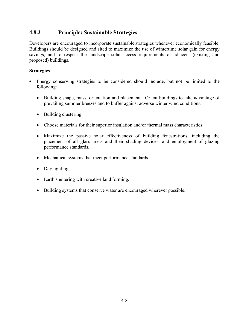#### **4.8.2 Principle: Sustainable Strategies**

Developers are encouraged to incorporate sustainable strategies whenever economically feasible. Buildings should be designed and sited to maximize the use of wintertime solar gain for energy savings, and to respect the landscape solar access requirements of adjacent (existing and proposed) buildings.

#### **Strategies**

- Energy conserving strategies to be considered should include, but not be limited to the following:
	- Building shape, mass, orientation and placement. Orient buildings to take advantage of prevailing summer breezes and to buffer against adverse winter wind conditions.
	- Building clustering.
	- Choose materials for their superior insulation and/or thermal mass characteristics.
	- Maximize the passive solar effectiveness of building fenestrations, including the placement of all glass areas and their shading devices, and employment of glazing performance standards.
	- Mechanical systems that meet performance standards.
	- Day lighting.
	- Earth sheltering with creative land forming.
	- Building systems that conserve water are encouraged wherever possible.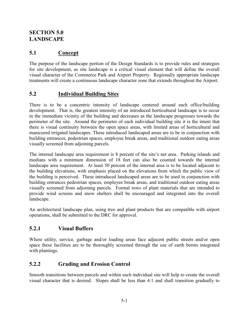# **SECTION 5.0 LANDSCAPE**

# **5.1 Concept**

The purpose of the landscape portion of the Design Standards is to provide rules and strategies for site development, as site landscape is a critical visual element that will define the overall visual character of the Commerce Park and Airport Property. Regionally appropriate landscape treatments will create a continuous landscape character zone that extends throughout the Airport.

## **5.2 Individual Building Sites**

There is to be a concentric intensity of landscape centered around each office/building development. That is, the greatest intensity of an introduced horticultural landscape is to occur in the immediate vicinity of the building and decreases as the landscape progresses towards the perimeter of the site. Around the perimeter of each individual building site it is the intent that there is visual continuity between the open space areas, with limited areas of horticultural and manicured irrigated landscapes. These introduced landscaped areas are to be in conjunction with building entrances, pedestrian spaces, employee break areas, and traditional outdoor eating areas visually screened from adjoining parcels.

The internal landscape area requirement is 8 percent of the site's net area. Parking islands and medians with a minimum dimension of 18 feet can also be counted towards the internal landscape area requirement. At least 50 percent of the internal area is to be located adjacent to the building elevations, with emphasis placed on the elevations from which the public view of the building is perceived. These introduced landscaped areas are to be used in conjunction with building entrances pedestrian spaces, employee break areas, and traditional outdoor eating areas visually screened from adjoining parcels. Formal rows of plant materials that are intended to provide wind screens and snow shelters shall be encouraged and integrated into the overall landscape.

An architectural landscape plan, using tree and plant products that are compatible with airport operations, shall be submitted to the DRC for approval.

## **5.2.1 Visual Buffers**

Where utility, service, garbage and/or loading areas face adjacent public streets and/or open space these facilities are to be thoroughly screened through the use of earth berms integrated with plantings.

#### **5.2.2 Grading and Erosion Control**

Smooth transitions between parcels and within each individual site will help to create the overall visual character that is desired. Slopes shall be less than 4:1 and shall transition gradually to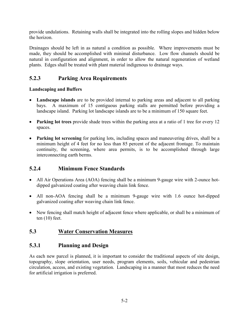provide undulations. Retaining walls shall be integrated into the rolling slopes and hidden below the horizon.

Drainages should be left in as natural a condition as possible. Where improvements must be made, they should be accomplished with minimal disturbance. Low flow channels should be natural in configuration and alignment, in order to allow the natural regeneration of wetland plants. Edges shall be treated with plant material indigenous to drainage ways.

#### **5.2.3 Parking Area Requirements**

#### **Landscaping and Buffers**

- **Landscape islands** are to be provided internal to parking areas and adjacent to all parking bays. A maximum of 15 contiguous parking stalls are permitted before providing a landscape island. Parking lot landscape islands are to be a minimum of 150 square feet.
- **Parking lot trees** provide shade trees within the parking area at a ratio of 1 tree for every 12 spaces.
- **Parking lot screening** for parking lots, including spaces and maneuvering drives, shall be a minimum height of 4 feet for no less than 85 percent of the adjacent frontage. To maintain continuity, the screening, where area permits, is to be accomplished through large interconnecting earth berms.

#### **5.2.4 Minimum Fence Standards**

- All Air Operations Area (AOA) fencing shall be a minimum 9-gauge wire with 2-ounce hotdipped galvanized coating after weaving chain link fence.
- All non-AOA fencing shall be a minimum 9-gauge wire with 1.6 ounce hot-dipped galvanized coating after weaving chain link fence.
- New fencing shall match height of adjacent fence where applicable, or shall be a minimum of ten (10) feet.

#### **5.3 Water Conservation Measures**

#### **5.3.1 Planning and Design**

As each new parcel is planned, it is important to consider the traditional aspects of site design, topography, slope orientation, user needs, program elements, soils, vehicular and pedestrian circulation, access, and existing vegetation. Landscaping in a manner that most reduces the need for artificial irrigation is preferred.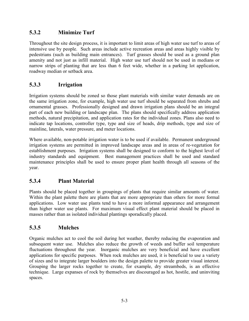## **5.3.2 Minimize Turf**

Throughout the site design process, it is important to limit areas of high water use turf to areas of intensive use by people. Such areas include active recreation areas and areas highly visible by pedestrians (such as building main entrances). Turf grasses should be used as a ground plan amenity and not just as infill material. High water use turf should not be used in medians or narrow strips of planting that are less than 6 feet wide, whether in a parking lot application, roadway median or setback area.

#### **5.3.3 Irrigation**

Irrigation systems should be zoned so those plant materials with similar water demands are on the same irrigation zone, for example, high water use turf should be separated from shrubs and ornamental grasses. Professionally designed and drawn irrigation plans should be an integral part of each new building or landscape plan. The plans should specifically address application methods, natural precipitation, and application rates for the individual zones. Plans also need to indicate tap locations, controller type, type and size of heads, drip methods, type and size of mainline, laterals, water pressure, and meter locations.

Where available, non-potable irrigation water is to be used if available. Permanent underground irrigation systems are permitted in improved landscape areas and in areas of re-vegetation for establishment purposes. Irrigation systems shall be designed to conform to the highest level of industry standards and equipment. Best management practices shall be used and standard maintenance principles shall be used to ensure proper plant health through all seasons of the year.

## **5.3.4 Plant Material**

Plants should be placed together in groupings of plants that require similar amounts of water. Within the plant palette there are plants that are more appropriate than others for more formal applications. Low water use plants tend to have a more informal appearance and arrangement than higher water use plants. For maximum visual effect plant material should be placed in masses rather than as isolated individual plantings sporadically placed.

#### **5.3.5 Mulches**

Organic mulches act to cool the soil during hot weather, thereby reducing the evaporation and subsequent water use. Mulches also reduce the growth of weeds and buffer soil temperature fluctuations throughout the year. Inorganic mulches are very beneficial and have excellent applications for specific purposes. When rock mulches are used, it is beneficial to use a variety of sizes and to integrate larger boulders into the design palette to provide greater visual interest. Grouping the larger rocks together to create, for example, dry streambeds, is an effective technique. Large expanses of rock by themselves are discouraged as hot, hostile, and uninviting spaces.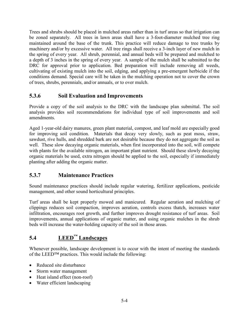Trees and shrubs should be placed in mulched areas rather than in turf areas so that irrigation can be zoned separately. All trees in lawn areas shall have a 3-foot-diameter mulched tree ring maintained around the base of the trunk. This practice will reduce damage to tree trunks by machinery and/or by excessive water. All tree rings shall receive a 3-inch layer of new mulch in the spring of every year. All shrub, perennial, and annual beds will be prepared and mulched to a depth of 3 inches in the spring of every year. A sample of the mulch shall be submitted to the DRC for approval prior to application. Bed preparation will include removing all weeds, cultivating of existing mulch into the soil, edging, and applying a pre-emergent herbicide if the conditions demand. Special care will be taken in the mulching operation not to cover the crown of trees, shrubs, perennials, and/or annuals, or to over mulch.

#### **5.3.6 Soil Evaluation and Improvements**

Provide a copy of the soil analysis to the DRC with the landscape plan submittal. The soil analysis provides soil recommendations for individual type of soil improvements and soil amendments.

Aged 1-year-old dairy manures, green plant material, compost, and leaf mold are especially good for improving soil condition. Materials that decay very slowly, such as peat moss, straw, sawdust, rive hulls, and shredded bark are not desirable because they do not aggregate the soil as well. These slow decaying organic materials, when first incorporated into the soil, will compete with plants for the available nitrogen, an important plant nutrient. Should these slowly decaying organic materials be used, extra nitrogen should be applied to the soil, especially if immediately planting after adding the organic matter.

## **5.3.7 Maintenance Practices**

Sound maintenance practices should include regular watering, fertilizer applications, pesticide management, and other sound horticultural principles.

Turf areas shall be kept properly mowed and manicured. Regular aeration and mulching of clippings reduces soil compaction, improves aeration, controls excess thatch, increases water infiltration, encourages root growth, and further improves drought resistance of turf areas. Soil improvements, annual applications of organic matter, and using organic mulches in the shrub beds will increase the water-holding capacity of the soil in those areas.

# **5.4 LEED™ Landscapes**

Whenever possible, landscape development is to occur with the intent of meeting the standards of the LEED™ practices. This would include the following:

- Reduced site disturbance
- Storm water management
- Heat island effect (non-roof)
- Water efficient landscaping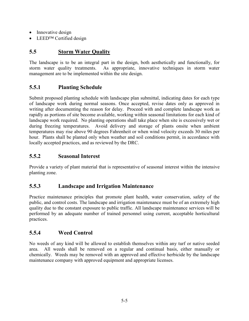- Innovative design
- LEED<sup>TM</sup> Certified design

# **5.5 Storm Water Quality**

The landscape is to be an integral part in the design, both aesthetically and functionally, for storm water quality treatments. As appropriate, innovative techniques in storm water management are to be implemented within the site design.

## **5.5.1 Planting Schedule**

Submit proposed planting schedule with landscape plan submittal, indicating dates for each type of landscape work during normal seasons. Once accepted, revise dates only as approved in writing after documenting the reason for delay. Proceed with and complete landscape work as rapidly as portions of site become available, working within seasonal limitations for each kind of landscape work required. No planting operations shall take place when site is excessively wet or during freezing temperatures. Avoid delivery and storage of plants onsite when ambient temperatures may rise above 90 degrees Fahrenheit or when wind velocity exceeds 30 miles per hour. Plants shall be planted only when weather and soil conditions permit, in accordance with locally accepted practices, and as reviewed by the DRC.

#### **5.5.2 Seasonal Interest**

Provide a variety of plant material that is representative of seasonal interest within the intensive planting zone.

#### **5.5.3 Landscape and Irrigation Maintenance**

Practice maintenance principles that promote plant health, water conservation, safety of the public, and control costs. The landscape and irrigation maintenance must be of an extremely high quality due to the constant exposure to public traffic. All landscape maintenance services will be performed by an adequate number of trained personnel using current, acceptable horticultural practices.

## **5.5.4 Weed Control**

No weeds of any kind will be allowed to establish themselves within any turf or native seeded area. All weeds shall be removed on a regular and continual basis, either manually or chemically. Weeds may be removed with an approved and effective herbicide by the landscape maintenance company with approved equipment and appropriate licenses.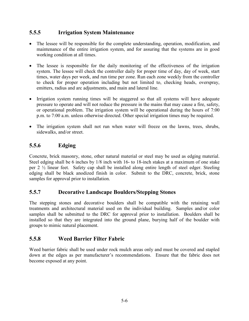#### **5.5.5 Irrigation System Maintenance**

- The lessee will be responsible for the complete understanding, operation, modification, and maintenance of the entire irrigation system, and for assuring that the systems are in good working condition at all times.
- The lessee is responsible for the daily monitoring of the effectiveness of the irrigation system. The lessee will check the controller daily for proper time of day, day of week, start times, water days per week, and run time per zone. Run each zone weekly from the controller to check for proper operation including but not limited to, checking heads, overspray, emitters, radius and arc adjustments, and main and lateral line.
- Irrigation system running times will be staggered so that all systems will have adequate pressure to operate and will not reduce the pressure in the mains that may cause a fire, safety, or operational problem. The irrigation system will be operational during the hours of 7:00 p.m. to 7:00 a.m. unless otherwise directed. Other special irrigation times may be required.
- The irrigation system shall not run when water will freeze on the lawns, trees, shrubs, sidewalks, and/or street.

## **5.5.6 Edging**

Concrete, brick masonry, stone, other natural material or steel may be used as edging material. Steel edging shall be 6 inches by 1/8 inch with 16- to 18-inch stakes at a maximum of one stake per 2 ½ linear feet. Safety cap shall be installed along entire length of steel edger. Steeling edging shall be black anodized finish in color. Submit to the DRC, concrete, brick, stone samples for approval prior to installation.

#### **5.5.7 Decorative Landscape Boulders/Stepping Stones**

The stepping stones and decorative boulders shall be compatible with the retaining wall treatments and architectural material used on the individual building. Samples and/or color samples shall be submitted to the DRC for approval prior to installation. Boulders shall be installed so that they are integrated into the ground plane, burying half of the boulder with groups to mimic natural placement.

#### **5.5.8 Weed Barrier Filter Fabric**

Weed barrier fabric shall be used under rock mulch areas only and must be covered and stapled down at the edges as per manufacturer's recommendations. Ensure that the fabric does not become exposed at any point.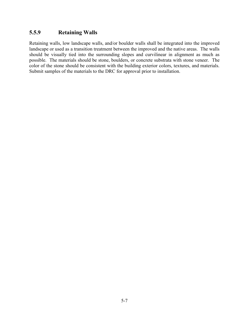#### **5.5.9 Retaining Walls**

Retaining walls, low landscape walls, and/or boulder walls shall be integrated into the improved landscape or used as a transition treatment between the improved and the native areas. The walls should be visually tied into the surrounding slopes and curvilinear in alignment as much as possible. The materials should be stone, boulders, or concrete substrata with stone veneer. The color of the stone should be consistent with the building exterior colors, textures, and materials. Submit samples of the materials to the DRC for approval prior to installation.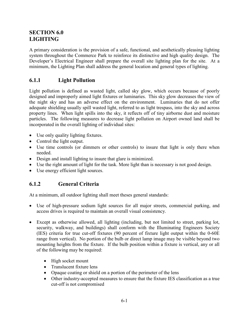# **SECTION 6.0 LIGHTING**

A primary consideration is the provision of a safe, functional, and aesthetically pleasing lighting system throughout the Commerce Park to reinforce its distinctive and high quality design. The Developer's Electrical Engineer shall prepare the overall site lighting plan for the site. At a minimum, the Lighting Plan shall address the general location and general types of lighting.

# **6.1.1 Light Pollution**

Light pollution is defined as wasted light, called sky glow, which occurs because of poorly designed and improperly aimed light fixtures or luminaries. This sky glow decreases the view of the night sky and has an adverse effect on the environment. Luminaries that do not offer adequate shielding usually spill wasted light, referred to as light trespass, into the sky and across property lines. When light spills into the sky, it reflects off of tiny airborne dust and moisture particles. The following measures to decrease light pollution on Airport owned land shall be incorporated in the overall lighting of individual sites:

- Use only quality lighting fixtures.
- Control the light output.
- Use time controls (or dimmers or other controls) to insure that light is only there when needed.
- Design and install lighting to insure that glare is minimized.
- Use the right amount of light for the task. More light than is necessary is not good design.
- Use energy efficient light sources.

# **6.1.2 General Criteria**

At a minimum, all outdoor lighting shall meet theses general standards:

- Use of high-pressure sodium light sources for all major streets, commercial parking, and access drives is required to maintain an overall visual consistency.
- Except as otherwise allowed, all lighting (including, but not limited to street, parking lot, security, walkway, and buildings) shall conform with the Illuminating Engineers Society (IES) criteria for true cut-off fixtures (90 percent of fixture light output within the 0-60E range from vertical). No portion of the bulb or direct lamp image may be visible beyond two mounting heights from the fixture. If the bulb position within a fixture is vertical, any or all of the following may be required:
	- High socket mount
	- Translucent fixture lens
	- Opaque coating or shield on a portion of the perimeter of the lens
	- Other industry-accepted measures to ensure that the fixture IES classification as a true cut-off is not compromised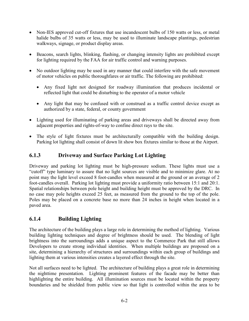- Non-IES approved cut-off fixtures that use incandescent bulbs of 150 watts or less, or metal halide bulbs of 35 watts or less, may be used to illuminate landscape plantings, pedestrian walkways, signage, or product display areas.
- Beacons, search lights, blinking, flashing, or changing intensity lights are prohibited except for lighting required by the FAA for air traffic control and warning purposes.
- No outdoor lighting may be used in any manner that could interfere with the safe movement of motor vehicles on public thoroughfares or air traffic. The following are prohibited:
	- Any fixed light not designed for roadway illumination that produces incidental or reflected light that could be disturbing to the operator of a motor vehicle
	- Any light that may be confused with or construed as a traffic control device except as authorized by a state, federal, or county government
- Lighting used for illuminating of parking areas and driveways shall be directed away from adjacent properties and rights-of-way to confine direct rays to the site.
- The style of light fixtures must be architecturally compatible with the building design. Parking lot lighting shall consist of down lit show box fixtures similar to those at the Airport.

## **6.1.3 Driveway and Surface Parking Lot Lighting**

Driveway and parking lot lighting must be high-pressure sodium. These lights must use a "cutoff" type luminary to assure that no light sources are visible and to minimize glare. At no point may the light level exceed 8 foot-candles when measured at the ground or an average of 2 foot-candles overall. Parking lot lighting must provide a uniformity ratio between 15:1 and 20:1. Spatial relationships between pole height and building height must be approved by the DRC. In no case may pole heights exceed 25 feet, as measured from the ground to the top of the pole. Poles may be placed on a concrete base no more than 24 inches in height when located in a paved area.

## **6.1.4 Building Lighting**

The architecture of the building plays a large role in determining the method of lighting. Various building lighting techniques and degree of brightness should be used. The blending of light brightness into the surroundings adds a unique aspect to the Commerce Park that still allows Developers to create strong individual identities. When multiple buildings are proposed on a site, determining a hierarchy of structures and surroundings within each group of buildings and lighting them at various intensities creates a layered effect through the site.

Not all surfaces need to be lighted. The architecture of building plays a great role in determining the nighttime presentation. Lighting prominent features of the facade may be better than highlighting the entire building. All illumination sources must be located within the property boundaries and be shielded from public view so that light is controlled within the area to be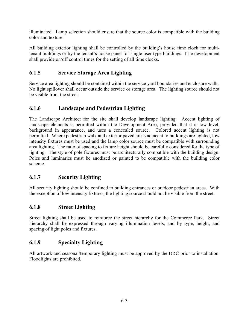illuminated. Lamp selection should ensure that the source color is compatible with the building color and texture.

All building exterior lighting shall be controlled by the building's house time clock for multitenant buildings or by the tenant's house panel for single user type buildings. T he development shall provide on/off control times for the setting of all time clocks.

## **6.1.5 Service Storage Area Lighting**

Service area lighting should be contained within the service yard boundaries and enclosure walls. No light spillover shall occur outside the service or storage area. The lighting source should not be visible from the street.

#### **6.1.6 Landscape and Pedestrian Lighting**

The Landscape Architect for the site shall develop landscape lighting. Accent lighting of landscape elements is permitted within the Development Area, provided that it is low level, background in appearance, and uses a concealed source. Colored accent lighting is not permitted. Where pedestrian walk and exterior paved areas adjacent to buildings are lighted, low intensity fixtures must be used and the lamp color source must be compatible with surrounding area lighting. The ratio of spacing to fixture height should be carefully considered for the type of lighting. The style of pole fixtures must be architecturally compatible with the building design. Poles and luminaries must be anodized or painted to be compatible with the building color scheme.

#### **6.1.7 Security Lighting**

All security lighting should be confined to building entrances or outdoor pedestrian areas. With the exception of low intensity fixtures, the lighting source should not be visible from the street.

## **6.1.8 Street Lighting**

Street lighting shall be used to reinforce the street hierarchy for the Commerce Park. Street hierarchy shall be expressed through varying illumination levels, and by type, height, and spacing of light poles and fixtures.

#### **6.1.9 Specialty Lighting**

All artwork and seasonal/temporary lighting must be approved by the DRC prior to installation. Floodlights are prohibited.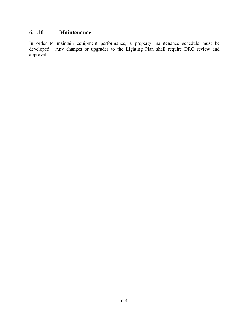# **6.1.10 Maintenance**

In order to maintain equipment performance, a property maintenance schedule must be developed. Any changes or upgrades to the Lighting Plan shall require DRC review and approval.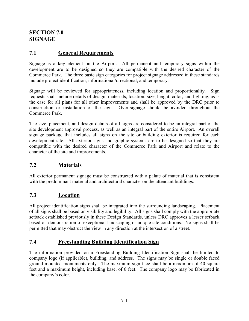# **SECTION 7.0 SIGNAGE**

# **7.1 General Requirements**

Signage is a key element on the Airport. All permanent and temporary signs within the development are to be designed so they are compatible with the desired character of the Commerce Park. The three basic sign categories for project signage addressed in these standards include project identification, informational/directional, and temporary.

Signage will be reviewed for appropriateness, including location and proportionality. Sign requests shall include details of design, materials, location, size, height, color, and lighting, as is the case for all plans for all other improvements and shall be approved by the DRC prior to construction or installation of the sign. Over-signage should be avoided throughout the Commerce Park.

The size, placement, and design details of all signs are considered to be an integral part of the site development approval process, as well as an integral part of the entire Airport. An overall signage package that includes all signs on the site or building exterior is required for each development site. All exterior signs and graphic systems are to be designed so that they are compatible with the desired character of the Commerce Park and Airport and relate to the character of the site and improvements.

## **7.2 Materials**

All exterior permanent signage must be constructed with a palate of material that is consistent with the predominant material and architectural character on the attendant buildings.

## **7.3 Location**

All project identification signs shall be integrated into the surrounding landscaping. Placement of all signs shall be based on visibility and legibility. All signs shall comply with the appropriate setback established previously in these Design Standards, unless DRC approves a lesser setback based on demonstration of exceptional landscaping or unique site conditions. No signs shall be permitted that may obstruct the view in any direction at the intersection of a street.

## **7.4 Freestanding Building Identification Sign**

The information provided on a Freestanding Building Identification Sign shall be limited to company logo (if applicable), building, and address. The signs may be single or double faced ground-mounted monuments only. The maximum sign face shall be a maximum of 40 square feet and a maximum height, including base, of 6 feet. The company logo may be fabricated in the company's color.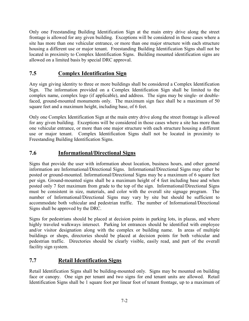Only one Freestanding Building Identification Sign at the main entry drive along the street frontage is allowed for any given building. Exceptions will be considered in those cases where a site has more than one vehicular entrance, or more than one major structure with each structure housing a different use or major tenant. Freestanding Building Identification Signs shall not be located in proximity to Complex Identification Signs. Building mounted identification signs are allowed on a limited basis by special DRC approval.

# **7.5 Complex Identification Sign**

Any sign giving identity to three or more buildings shall be considered a Complex Identification Sign. The information provided on a Complex Identification Sign shall be limited to the complex name, complex logo (if applicable), and address. The signs may be single- or doublefaced, ground-mounted monuments only. The maximum sign face shall be a maximum of 50 square feet and a maximum height, including base, of 6 feet.

Only one Complex Identification Sign at the main entry drive along the street frontage is allowed for any given building. Exceptions will be considered in those cases where a site has more than one vehicular entrance, or more than one major structure with each structure housing a different use or major tenant. Complex Identification Signs shall not be located in proximity to Freestanding Building Identification Signs.

# **7.6 Informational/Directional Signs**

Signs that provide the user with information about location, business hours, and other general information are Informational/Directional Signs. Informational/Directional Signs may either be posted or ground-mounted. Informational/Directional Signs may be a maximum of 6 square feet per sign. Ground-mounted signs shall be a maximum height of 4 feet including base and when posted only 7 feet maximum from grade to the top of the sign. Informational/Directional Signs must be consistent in size, materials, and color with the overall site signage program. The number of Informational/Directional Signs may vary by site but should be sufficient to accommodate both vehicular and pedestrian traffic. The number of Informational/Directional Signs shall be approved by the DRC.

Signs for pedestrians should be placed at decision points in parking lots, in plazas, and where highly traveled walkways intersect. Parking lot entrances should be identified with employee and/or visitor designation along with the complex or building name. In areas of multiple buildings or shops, directories should be placed at decision points for both vehicular and pedestrian traffic. Directories should be clearly visible, easily read, and part of the overall facility sign system.

# **7.7 Retail Identification Signs**

Retail Identification Signs shall be building-mounted only. Signs may be mounted on building face or canopy. One sign per tenant and two signs for end tenant units are allowed. Retail Identification Signs shall be 1 square foot per linear foot of tenant frontage, up to a maximum of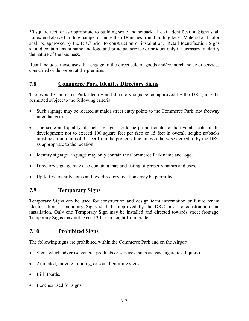50 square feet, or as appropriate to building scale and setback. Retail Identification Signs shall not extend above building parapet or more than 18 inches from building face. Material and color shall be approved by the DRC prior to construction or installation. Retail Identification Signs should contain tenant name and logo and principal service or product only if necessary to clarify the nature of the business.

Retail includes those uses that engage in the direct sale of goods and/or merchandise or services consumed or delivered at the premises.

## **7.8 Commerce Park Identity Directory Signs**

The overall Commerce Park identity and directory signage, as approved by the DRC, may be permitted subject to the following criteria:

- Such signage may be located at major street entry points to the Commerce Park (not freeway interchanges).
- The scale and quality of such signage should be proportionate to the overall scale of the development; not to exceed 100 square feet per face or 15 feet in overall height; setbacks must be a minimum of 35 feet from the property line unless otherwise agreed to by the DRC as appropriate to the location.
- Identity signage language may only contain the Commerce Park name and logo.
- Directory signage may also contain a map and listing of property names and uses.
- Up to five identity signs and two directory locations may be permitted.

## **7.9 Temporary Signs**

Temporary Signs can be used for construction and design team information or future tenant identification. Temporary Signs shall be approved by the DRC prior to construction and installation. Only one Temporary Sign may be installed and directed towards street frontage. Temporary Signs may not exceed 3 feet in height from grade.

#### **7.10 Prohibited Signs**

The following signs are prohibited within the Commerce Park and on the Airport:

- Signs which advertise general products or services (such as, gas, cigarettes, liquors).
- Animated, moving, rotating, or sound-emitting signs.
- Bill Boards.
- Benches used for signs.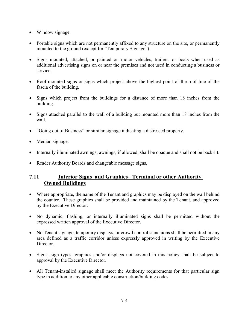- Window signage.
- Portable signs which are not permanently affixed to any structure on the site, or permanently mounted to the ground (except for "Temporary Signage").
- Signs mounted, attached, or painted on motor vehicles, trailers, or boats when used as additional advertising signs on or near the premises and not used in conducting a business or service.
- Roof-mounted signs or signs which project above the highest point of the roof line of the fascia of the building.
- Signs which project from the buildings for a distance of more than 18 inches from the building.
- Signs attached parallel to the wall of a building but mounted more than 18 inches from the wall.
- "Going out of Business" or similar signage indicating a distressed property.
- Median signage.
- Internally illuminated awnings; awnings, if allowed, shall be opaque and shall not be back-lit.
- Reader Authority Boards and changeable message signs.

#### **7.11 Interior Signs and Graphics– Terminal or other Authority Owned Buildings**

- Where appropriate, the name of the Tenant and graphics may be displayed on the wall behind the counter. These graphics shall be provided and maintained by the Tenant, and approved by the Executive Director.
- No dynamic, flashing, or internally illuminated signs shall be permitted without the expressed written approval of the Executive Director.
- No Tenant signage, temporary displays, or crowd control stanchions shall be permitted in any area defined as a traffic corridor unless expressly approved in writing by the Executive **Director**
- Signs, sign types, graphics and/or displays not covered in this policy shall be subject to approval by the Executive Director.
- All Tenant-installed signage shall meet the Authority requirements for that particular sign type in addition to any other applicable construction/building codes.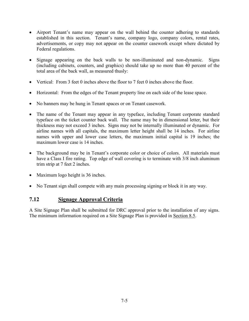- Airport Tenant's name may appear on the wall behind the counter adhering to standards established in this section. Tenant's name, company logo, company colors, rental rates, advertisements, or copy may not appear on the counter casework except where dictated by Federal regulations.
- Signage appearing on the back walls to be non-illuminated and non-dynamic. Signs (including cabinets, counters, and graphics) should take up no more than 40 percent of the total area of the back wall, as measured thusly:
- Vertical: From 3 feet 0 inches above the floor to 7 feet 0 inches above the floor.
- Horizontal: From the edges of the Tenant property line on each side of the lease space.
- No banners may be hung in Tenant spaces or on Tenant casework.
- The name of the Tenant may appear in any typeface, including Tenant corporate standard typeface on the ticket counter back wall. The name may be in dimensional letter, but their thickness may not exceed 3 inches. Signs may not be internally illuminated or dynamic. For airline names with all capitals, the maximum letter height shall be 14 inches. For airline names with upper and lower case letters, the maximum initial capital is 19 inches; the maximum lower case is 14 inches.
- The background may be in Tenant's corporate color or choice of colors. All materials must have a Class I fire rating. Top edge of wall covering is to terminate with 3/8 inch aluminum trim strip at 7 feet 2 inches.
- Maximum logo height is 36 inches.
- No Tenant sign shall compete with any main processing signing or block it in any way.

#### **7.12 Signage Approval Criteria**

A Site Signage Plan shall be submitted for DRC approval prior to the installation of any signs. The minimum information required on a Site Signage Plan is provided in Section 8.5.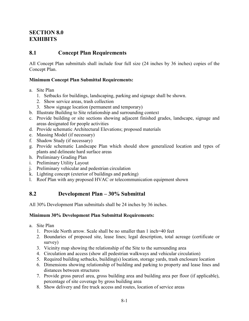## **SECTION 8.0 EXHIBITS**

#### **8.1 Concept Plan Requirements**

All Concept Plan submittals shall include four full size (24 inches by 36 inches) copies of the Concept Plan.

#### **Minimum Concept Plan Submittal Requirements:**

- a. Site Plan
	- 1. Setbacks for buildings, landscaping, parking and signage shall be shown.
	- 2. Show service areas, trash collection
	- 3. Show signage location (permanent and temporary)
- b. Illustrate Building to Site relationship and surrounding context
- c. Provide building or site sections showing adjacent finished grades, landscape, signage and areas designated for people activities
- d. Provide schematic Architectural Elevations; proposed materials
- e. Massing Model (if necessary)
- f. Shadow Study (if necessary)
- g. Provide schematic Landscape Plan which should show generalized location and types of plants and delineate hard surface areas
- h. Preliminary Grading Plan
- i. Preliminary Utility Layout
- j. Preliminary vehicular and pedestrian circulation
- k. Lighting concept (exterior of buildings and parking)
- l. Roof Plan with any proposed HVAC or telecommunication equipment shown

#### **8.2 Development Plan – 30% Submittal**

All 30% Development Plan submittals shall be 24 inches by 36 inches.

#### **Minimum 30% Development Plan Submittal Requirements:**

- a. Site Plan
	- 1. Provide North arrow. Scale shall be no smaller than 1 inch=40 feet
	- 2. Boundaries of proposed site, lease lines; legal description, total acreage (certificate or survey)
	- 3. Vicinity map showing the relationship of the Site to the surrounding area
	- 4. Circulation and access (show all pedestrian walkways and vehicular circulation)
	- 5. Required building setbacks, building(s) location, storage yards, trash enclosure location
	- 6. Dimensions showing relationship of building and parking to property and lease lines and distances between structures
	- 7. Provide gross parcel area, gross building area and building area per floor (if applicable), percentage of site coverage by gross building area
	- 8. Show delivery and fire truck access and routes, location of service areas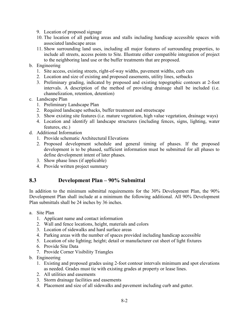- 9. Location of proposed signage
- 10. The location of all parking areas and stalls including handicap accessible spaces with associated landscape areas
- 11. Show surrounding land uses, including all major features of surrounding properties, to include all streets, access points to Site. Illustrate either compatible integration of project to the neighboring land use or the buffer treatments that are proposed.
- b. Engineering
	- 1. Site access, existing streets, right-of-way widths, pavement widths, curb cuts
	- 2. Location and size of existing and proposed easements, utility lines, setbacks
	- 3. Preliminary grading, indicated by proposed and existing topographic contours at 2-foot intervals. A description of the method of providing drainage shall be included (i.e. channelization, retention, detention)
- c. Landscape Plan
	- 1. Preliminary Landscape Plan
	- 2. Required landscape setbacks, buffer treatment and streetscape
	- 3. Show existing site features (i.e. mature vegetation, high value vegetation, drainage ways)
	- 4. Location and identify all landscape structures (including fences, signs, lighting, water features, etc.)
- d. Additional Information
	- 1. Provide schematic Architectural Elevations
	- 2. Proposed development schedule and general timing of phases. If the proposed development is to be phased, sufficient information must be submitted for all phases to define development intent of later phases.
	- 3. Show phase lines (if applicable)
	- 4. Provide written project summary

#### **8.3 Development Plan – 90% Submittal**

In addition to the minimum submittal requirements for the 30% Development Plan, the 90% Development Plan shall include at a minimum the following additional. All 90% Development Plan submittals shall be 24 inches by 36 inches.

- a. Site Plan
	- 1. Applicant name and contact information
	- 2. Wall and fence locations, height, materials and colors
	- 3. Location of sidewalks and hard surface areas
	- 4. Parking areas with the number of spaces provided including handicap accessible
	- 5. Location of site lighting; height; detail or manufacturer cut sheet of light fixtures
	- 6. Provide Site Data
	- 7. Provide Corner Visibility Triangles
- b. Engineering
	- 1. Existing and proposed grades using 2-foot contour intervals minimum and spot elevations as needed. Grades must tie with existing grades at property or lease lines.
	- 2. All utilities and easements
	- 3. Storm drainage facilities and easements
	- 4. Placement and size of all sidewalks and pavement including curb and gutter.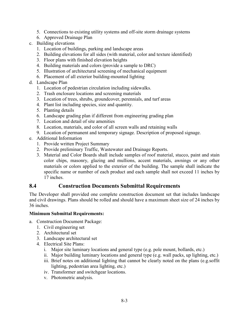- 5. Connections to existing utility systems and off-site storm drainage systems
- 6. Approved Drainage Plan
- c. Building elevations
	- 1. Location of buildings, parking and landscape areas
	- 2. Building elevations for all sides (with material, color and texture identified)
	- 3. Floor plans with finished elevation heights
	- 4. Building materials and colors (provide a sample to DRC)
	- 5. Illustration of architectural screening of mechanical equipment
	- 6. Placement of all exterior building-mounted lighting
- d. Landscape Plan
	- 1. Location of pedestrian circulation including sidewalks.
	- 2. Trash enclosure locations and screening materials
	- 3. Location of trees, shrubs, groundcover, perennials, and turf areas
	- 4. Plant list including species, size and quantity.
	- 5. Planting details
	- 6. Landscape grading plan if different from engineering grading plan
	- 7. Location and detail of site amenities
	- 8. Location, materials, and color of all screen walls and retaining walls
	- 9. Location of permanent and temporary signage. Description of proposed signage.
- e. Additional Information
	- 1. Provide written Project Summary
	- 2. Provide preliminary Traffic, Wastewater and Drainage Reports.
	- 3. Material and Color Boards shall include samples of roof material, stucco, paint and stain color chips, masonry, glazing and mullions, accent materials, awnings or any other materials or colors applied to the exterior of the building. The sample shall indicate the specific name or number of each product and each sample shall not exceed 11 inches by 17 inches.

#### **8.4 Construction Documents Submittal Requirements**

The Developer shall provided one complete construction document set that includes landscape and civil drawings. Plans should be rolled and should have a maximum sheet size of 24 inches by 36 inches.

#### **Minimum Submittal Requirements:**

- a. Construction Document Package:
	- 1. Civil engineering set
	- 2. Architectural set
	- 3. Landscape architectural set
	- 4. Electrical Site Plans:
		- i. Major site luminary locations and general type (e.g. pole mount, bollards, etc.)
		- ii. Major building luminary locations and general type (e.g. wall packs, up lighting, etc.)
		- iii. Brief notes on additional lighting that cannot be clearly noted on the plans (e.g.soffit lighting, pedestrian area lighting, etc.)
		- iv. Transformer and switchgear locations.
		- v. Photometric analysis.